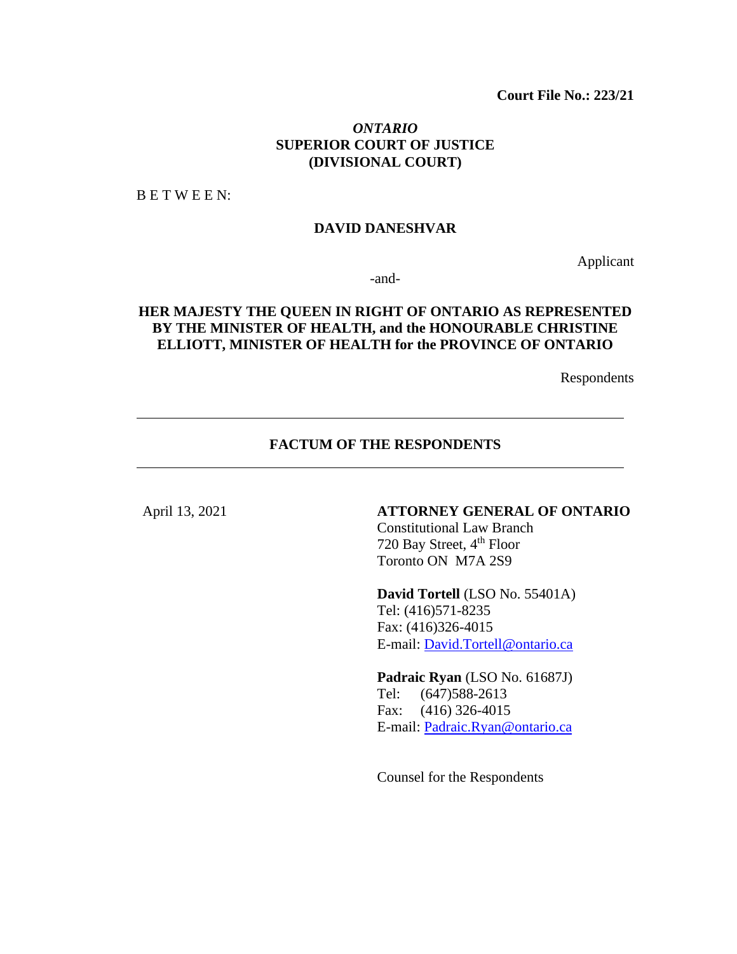## *ONTARIO* **SUPERIOR COURT OF JUSTICE (DIVISIONAL COURT)**

B E T W E E N:

#### **DAVID DANESHVAR**

Applicant

-and-

# **HER MAJESTY THE QUEEN IN RIGHT OF ONTARIO AS REPRESENTED BY THE MINISTER OF HEALTH, and the HONOURABLE CHRISTINE ELLIOTT, MINISTER OF HEALTH for the PROVINCE OF ONTARIO**

Respondents

# **FACTUM OF THE RESPONDENTS**

### April 13, 2021 **ATTORNEY GENERAL OF ONTARIO**

Constitutional Law Branch 720 Bay Street, 4<sup>th</sup> Floor Toronto ON M7A 2S9

**David Tortell** (LSO No. 55401A) Tel: (416)571-8235 Fax: (416)326-4015 E-mail: [David.Tortell@ontario.ca](mailto:David.Tortell@ontario.ca)

**Padraic Ryan** (LSO No. 61687J) Tel: (647)588-2613 Fax: (416) 326-4015 E-mail: [Padraic.Ryan@ontario.ca](mailto:Padraic.Ryan@ontario.ca)

Counsel for the Respondents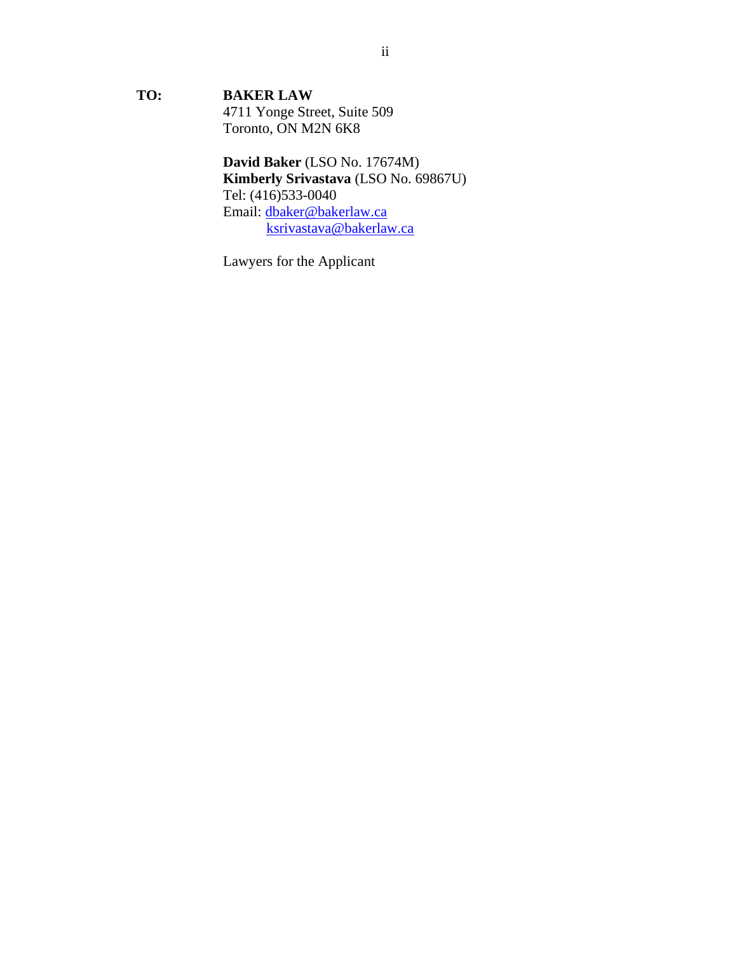**TO: BAKER LAW** 4711 Yonge Street, Suite 509 Toronto, ON M2N 6K8

> **David Baker** (LSO No. 17674M) **Kimberly Srivastava** (LSO No. 69867U) Tel: (416)533-0040 Email: [dbaker@bakerlaw.ca](mailto:dbaker@bakerlaw.ca) [ksrivastava@bakerlaw.ca](mailto:ksrivastava@bakerlaw.ca)

Lawyers for the Applicant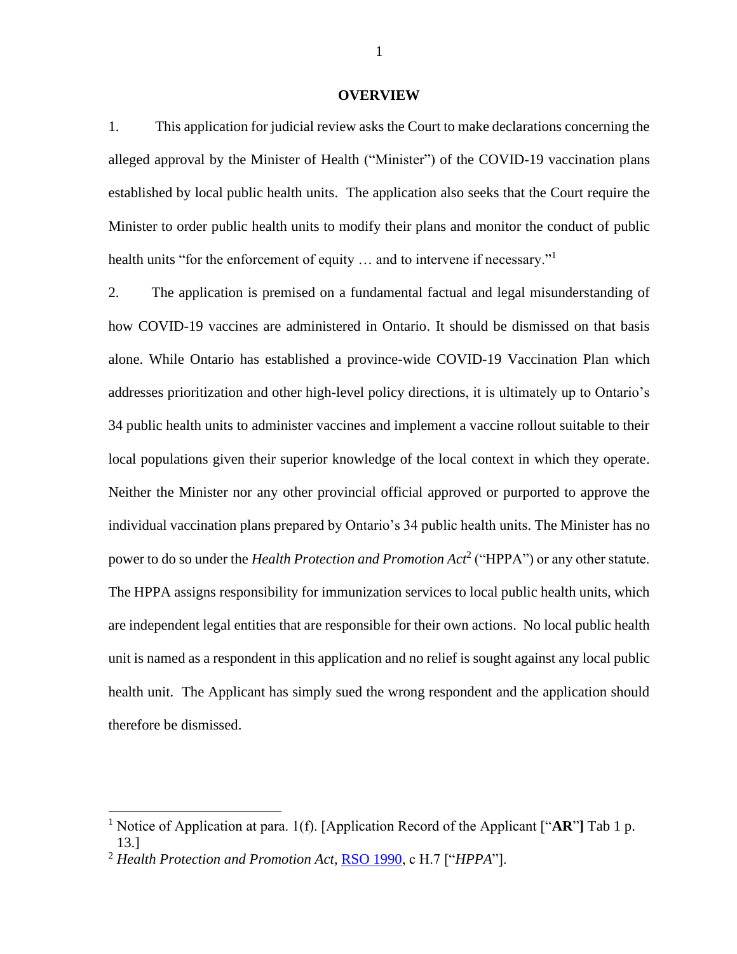#### **OVERVIEW**

1. This application for judicial review asks the Court to make declarations concerning the alleged approval by the Minister of Health ("Minister") of the COVID-19 vaccination plans established by local public health units. The application also seeks that the Court require the Minister to order public health units to modify their plans and monitor the conduct of public health units "for the enforcement of equity ... and to intervene if necessary."<sup>1</sup>

2. The application is premised on a fundamental factual and legal misunderstanding of how COVID-19 vaccines are administered in Ontario. It should be dismissed on that basis alone. While Ontario has established a province-wide COVID-19 Vaccination Plan which addresses prioritization and other high-level policy directions, it is ultimately up to Ontario's 34 public health units to administer vaccines and implement a vaccine rollout suitable to their local populations given their superior knowledge of the local context in which they operate. Neither the Minister nor any other provincial official approved or purported to approve the individual vaccination plans prepared by Ontario's 34 public health units. The Minister has no power to do so under the *Health Protection and Promotion Act*<sup>2</sup> ("HPPA") or any other statute. The HPPA assigns responsibility for immunization services to local public health units, which are independent legal entities that are responsible for their own actions. No local public health unit is named as a respondent in this application and no relief is sought against any local public health unit. The Applicant has simply sued the wrong respondent and the application should therefore be dismissed.

1

<sup>1</sup> Notice of Application at para. 1(f). [Application Record of the Applicant ["**AR**"**]** Tab 1 p. 13.]

<sup>2</sup> *Health Protection and Promotion Act*, [RSO 1990,](https://canlii.ca/t/2fp) c H.7 ["*HPPA*"].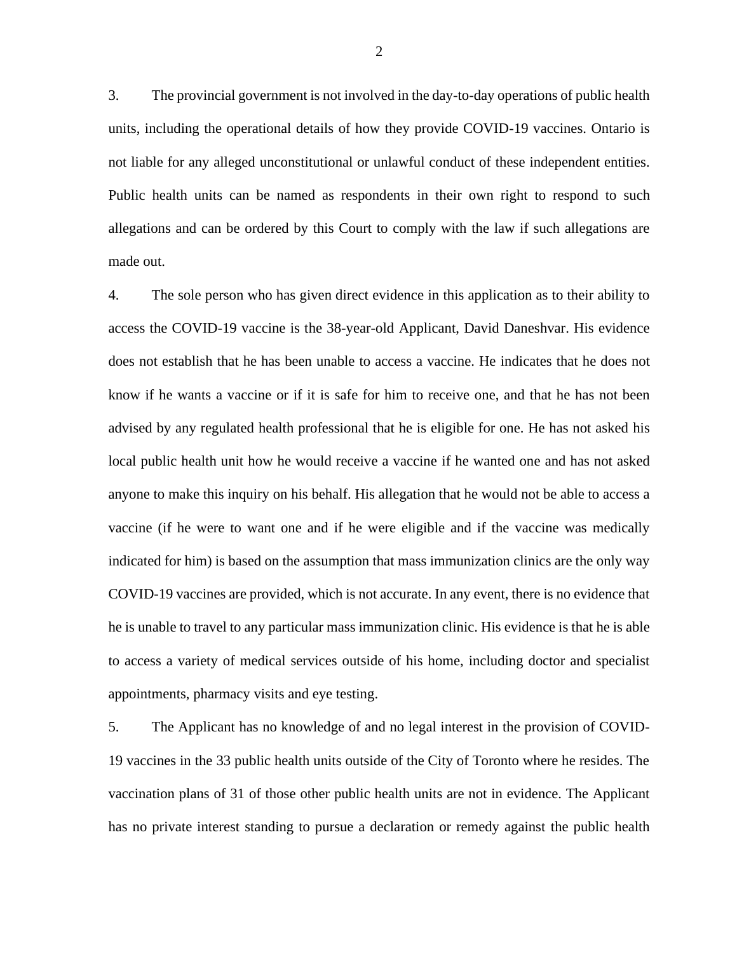3. The provincial government is not involved in the day-to-day operations of public health units, including the operational details of how they provide COVID-19 vaccines. Ontario is not liable for any alleged unconstitutional or unlawful conduct of these independent entities. Public health units can be named as respondents in their own right to respond to such allegations and can be ordered by this Court to comply with the law if such allegations are made out.

4. The sole person who has given direct evidence in this application as to their ability to access the COVID-19 vaccine is the 38-year-old Applicant, David Daneshvar. His evidence does not establish that he has been unable to access a vaccine. He indicates that he does not know if he wants a vaccine or if it is safe for him to receive one, and that he has not been advised by any regulated health professional that he is eligible for one. He has not asked his local public health unit how he would receive a vaccine if he wanted one and has not asked anyone to make this inquiry on his behalf. His allegation that he would not be able to access a vaccine (if he were to want one and if he were eligible and if the vaccine was medically indicated for him) is based on the assumption that mass immunization clinics are the only way COVID-19 vaccines are provided, which is not accurate. In any event, there is no evidence that he is unable to travel to any particular mass immunization clinic. His evidence is that he is able to access a variety of medical services outside of his home, including doctor and specialist appointments, pharmacy visits and eye testing.

5. The Applicant has no knowledge of and no legal interest in the provision of COVID-19 vaccines in the 33 public health units outside of the City of Toronto where he resides. The vaccination plans of 31 of those other public health units are not in evidence. The Applicant has no private interest standing to pursue a declaration or remedy against the public health

2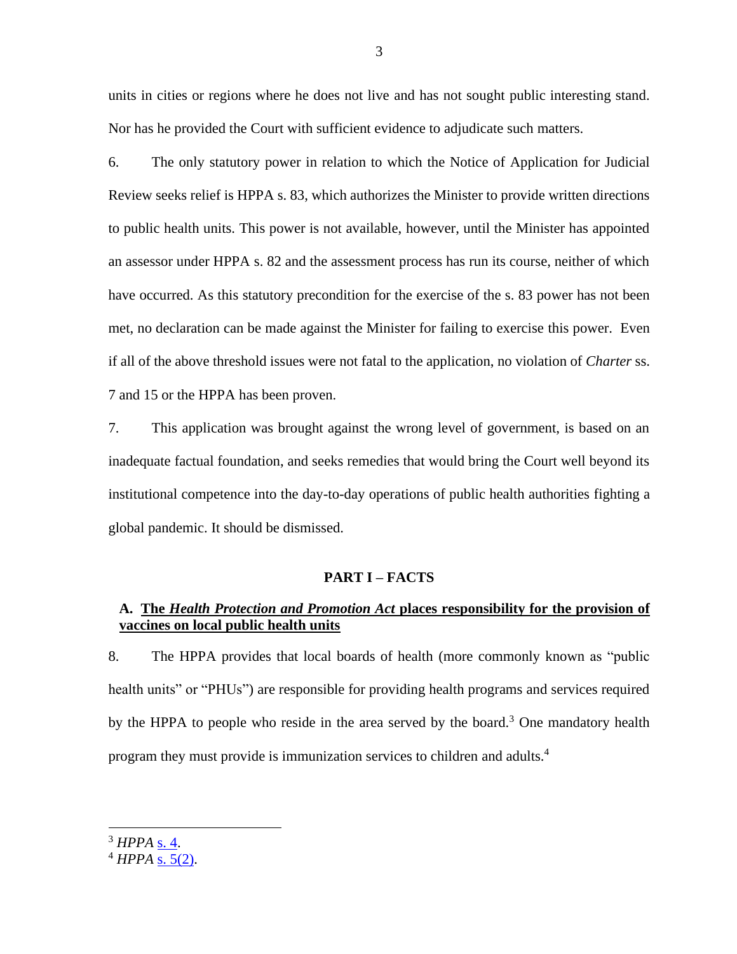units in cities or regions where he does not live and has not sought public interesting stand. Nor has he provided the Court with sufficient evidence to adjudicate such matters.

6. The only statutory power in relation to which the Notice of Application for Judicial Review seeks relief is HPPA s. 83, which authorizes the Minister to provide written directions to public health units. This power is not available, however, until the Minister has appointed an assessor under HPPA s. 82 and the assessment process has run its course, neither of which have occurred. As this statutory precondition for the exercise of the s. 83 power has not been met, no declaration can be made against the Minister for failing to exercise this power. Even if all of the above threshold issues were not fatal to the application, no violation of *Charter* ss. 7 and 15 or the HPPA has been proven.

7. This application was brought against the wrong level of government, is based on an inadequate factual foundation, and seeks remedies that would bring the Court well beyond its institutional competence into the day-to-day operations of public health authorities fighting a global pandemic. It should be dismissed.

#### **PART I – FACTS**

## **A. The** *Health Protection and Promotion Act* **places responsibility for the provision of vaccines on local public health units**

8. The HPPA provides that local boards of health (more commonly known as "public health units" or "PHUs") are responsible for providing health programs and services required by the HPPA to people who reside in the area served by the board.<sup>3</sup> One mandatory health program they must provide is immunization services to children and adults.<sup>4</sup>

<sup>3</sup> *HPPA* [s. 4.](https://canlii.ca/t/2fp#sec4)

 $4$  *HPPA* [s. 5\(2\)](https://canlii.ca/t/2fp#sec5).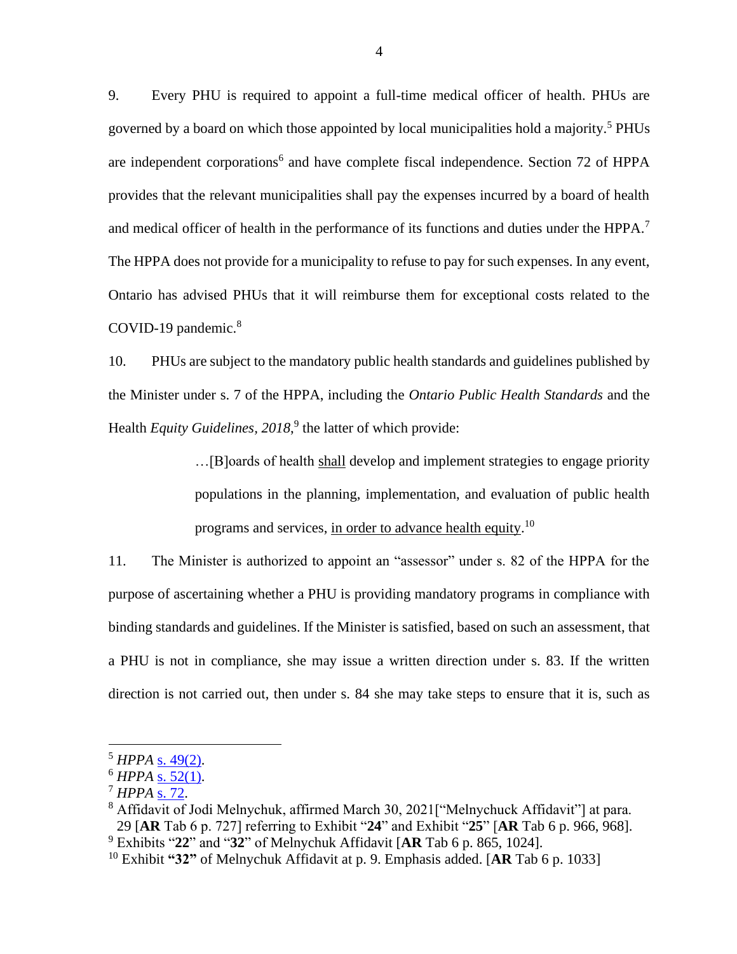9. Every PHU is required to appoint a full-time medical officer of health. PHUs are governed by a board on which those appointed by local municipalities hold a majority.<sup>5</sup> PHUs are independent corporations<sup>6</sup> and have complete fiscal independence. Section 72 of HPPA provides that the relevant municipalities shall pay the expenses incurred by a board of health and medical officer of health in the performance of its functions and duties under the HPPA.<sup>7</sup> The HPPA does not provide for a municipality to refuse to pay for such expenses. In any event, Ontario has advised PHUs that it will reimburse them for exceptional costs related to the COVID-19 pandemic.<sup>8</sup>

10. PHUs are subject to the mandatory public health standards and guidelines published by the Minister under s. 7 of the HPPA, including the *Ontario Public Health Standards* and the Health *Equity Guidelines*, 2018,<sup>9</sup> the latter of which provide:

> …[B]oards of health shall develop and implement strategies to engage priority populations in the planning, implementation, and evaluation of public health programs and services, in order to advance health equity.<sup>10</sup>

11. The Minister is authorized to appoint an "assessor" under s. 82 of the HPPA for the purpose of ascertaining whether a PHU is providing mandatory programs in compliance with binding standards and guidelines. If the Minister is satisfied, based on such an assessment, that a PHU is not in compliance, she may issue a written direction under s. 83. If the written direction is not carried out, then under s. 84 she may take steps to ensure that it is, such as

<sup>5</sup> *HPPA* [s. 49\(2\).](https://canlii.ca/t/2fp#sec49)

<sup>6</sup> *HPPA* [s. 52\(1\).](https://canlii.ca/t/2fp#sec52)

<sup>7</sup> *HPPA* [s. 72.](https://canlii.ca/t/2fp#sec72)

<sup>&</sup>lt;sup>8</sup> Affidavit of Jodi Melnychuk, affirmed March 30, 2021<sup>["</sup>Melnychuck Affidavit"] at para. 29 [**AR** Tab 6 p. 727] referring to Exhibit "**24**" and Exhibit "**25**" [**AR** Tab 6 p. 966, 968]. <sup>9</sup> Exhibits "**22**" and "**32**" of Melnychuk Affidavit [**AR** Tab 6 p. 865, 1024].

<sup>10</sup> Exhibit **"32"** of Melnychuk Affidavit at p. 9. Emphasis added. [**AR** Tab 6 p. 1033]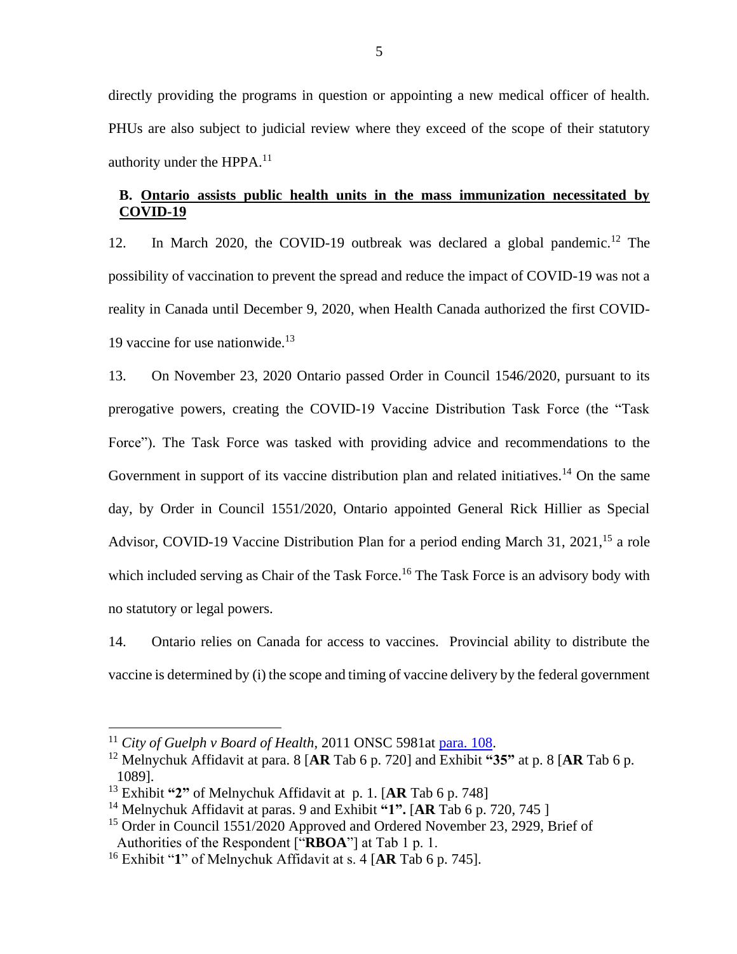directly providing the programs in question or appointing a new medical officer of health. PHUs are also subject to judicial review where they exceed of the scope of their statutory authority under the HPPA. $^{11}$ 

# **B. Ontario assists public health units in the mass immunization necessitated by COVID-19**

12. In March 2020, the COVID-19 outbreak was declared a global pandemic.<sup>12</sup> The possibility of vaccination to prevent the spread and reduce the impact of COVID-19 was not a reality in Canada until December 9, 2020, when Health Canada authorized the first COVID-19 vaccine for use nationwide. $13$ 

13. On November 23, 2020 Ontario passed Order in Council 1546/2020, pursuant to its prerogative powers, creating the COVID-19 Vaccine Distribution Task Force (the "Task Force"). The Task Force was tasked with providing advice and recommendations to the Government in support of its vaccine distribution plan and related initiatives.<sup>14</sup> On the same day, by Order in Council 1551/2020, Ontario appointed General Rick Hillier as Special Advisor, COVID-19 Vaccine Distribution Plan for a period ending March 31, 2021,<sup>15</sup> a role which included serving as Chair of the Task Force.<sup>16</sup> The Task Force is an advisory body with no statutory or legal powers.

14. Ontario relies on Canada for access to vaccines. Provincial ability to distribute the vaccine is determined by (i) the scope and timing of vaccine delivery by the federal government

<sup>11</sup> *City of Guelph v Board of Health*, 2011 ONSC 5981at [para. 108.](https://canlii.ca/t/frk04#par108)

<sup>12</sup> Melnychuk Affidavit at para. 8 [**AR** Tab 6 p. 720] and Exhibit **"35"** at p. 8 [**AR** Tab 6 p. 1089].

<sup>13</sup> Exhibit **"2"** of Melnychuk Affidavit at p. 1. [**AR** Tab 6 p. 748]

<sup>14</sup> Melnychuk Affidavit at paras. 9 and Exhibit **"1".** [**AR** Tab 6 p. 720, 745 ]

<sup>&</sup>lt;sup>15</sup> Order in Council 1551/2020 Approved and Ordered November 23, 2929, Brief of Authorities of the Respondent ["**RBOA**"] at Tab 1 p. 1.

<sup>16</sup> Exhibit "**1**" of Melnychuk Affidavit at s. 4 [**AR** Tab 6 p. 745].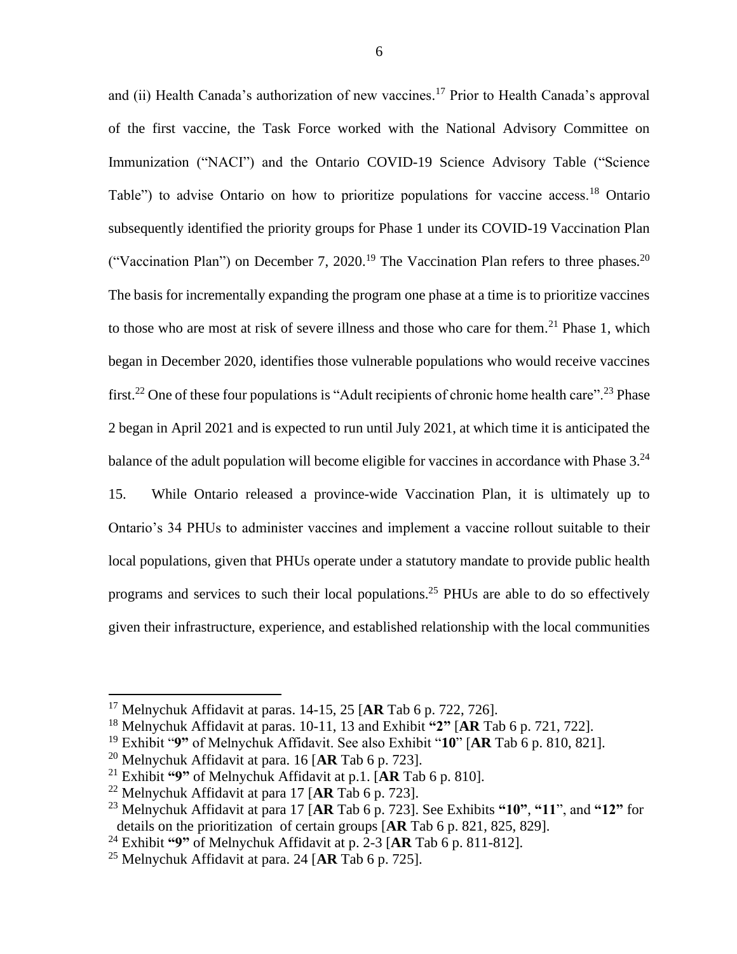and (ii) Health Canada's authorization of new vaccines.<sup>17</sup> Prior to Health Canada's approval of the first vaccine, the Task Force worked with the National Advisory Committee on Immunization ("NACI") and the Ontario COVID-19 Science Advisory Table ("Science Table") to advise Ontario on how to prioritize populations for vaccine access.<sup>18</sup> Ontario subsequently identified the priority groups for Phase 1 under its COVID-19 Vaccination Plan ("Vaccination Plan") on December 7, 2020.<sup>19</sup> The Vaccination Plan refers to three phases.<sup>20</sup> The basis for incrementally expanding the program one phase at a time is to prioritize vaccines to those who are most at risk of severe illness and those who care for them.<sup>21</sup> Phase 1, which began in December 2020, identifies those vulnerable populations who would receive vaccines first.<sup>22</sup> One of these four populations is "Adult recipients of chronic home health care".<sup>23</sup> Phase 2 began in April 2021 and is expected to run until July 2021, at which time it is anticipated the balance of the adult population will become eligible for vaccines in accordance with Phase  $3.^{24}$ 15. While Ontario released a province-wide Vaccination Plan, it is ultimately up to Ontario's 34 PHUs to administer vaccines and implement a vaccine rollout suitable to their local populations, given that PHUs operate under a statutory mandate to provide public health programs and services to such their local populations.<sup>25</sup> PHUs are able to do so effectively given their infrastructure, experience, and established relationship with the local communities

<sup>17</sup> Melnychuk Affidavit at paras. 14-15, 25 [**AR** Tab 6 p. 722, 726].

<sup>18</sup> Melnychuk Affidavit at paras. 10-11, 13 and Exhibit **"2"** [**AR** Tab 6 p. 721, 722].

<sup>19</sup> Exhibit "**9"** of Melnychuk Affidavit. See also Exhibit "**10**" [**AR** Tab 6 p. 810, 821].

<sup>20</sup> Melnychuk Affidavit at para. 16 [**AR** Tab 6 p. 723].

<sup>21</sup> Exhibit **"9"** of Melnychuk Affidavit at p.1. [**AR** Tab 6 p. 810].

<sup>22</sup> Melnychuk Affidavit at para 17 [**AR** Tab 6 p. 723].

<sup>23</sup> Melnychuk Affidavit at para 17 [**AR** Tab 6 p. 723]. See Exhibits **"10"**, **"11**", and **"12"** for details on the prioritization of certain groups [**AR** Tab 6 p. 821, 825, 829].

<sup>24</sup> Exhibit **"9"** of Melnychuk Affidavit at p. 2-3 [**AR** Tab 6 p. 811-812].

<sup>25</sup> Melnychuk Affidavit at para. 24 [**AR** Tab 6 p. 725].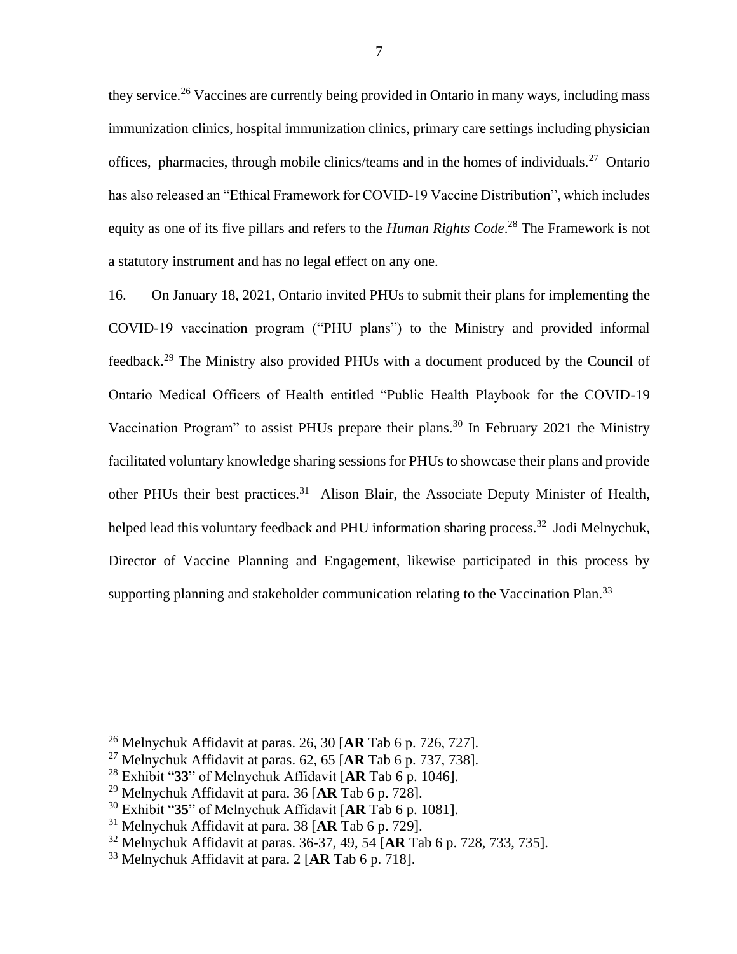they service.<sup>26</sup> Vaccines are currently being provided in Ontario in many ways, including mass immunization clinics, hospital immunization clinics, primary care settings including physician offices, pharmacies, through mobile clinics/teams and in the homes of individuals.<sup>27</sup> Ontario has also released an "Ethical Framework for COVID-19 Vaccine Distribution", which includes equity as one of its five pillars and refers to the *Human Rights Code*. <sup>28</sup> The Framework is not a statutory instrument and has no legal effect on any one.

16. On January 18, 2021, Ontario invited PHUs to submit their plans for implementing the COVID-19 vaccination program ("PHU plans") to the Ministry and provided informal feedback.<sup>29</sup> The Ministry also provided PHUs with a document produced by the Council of Ontario Medical Officers of Health entitled "Public Health Playbook for the COVID-19 Vaccination Program" to assist PHUs prepare their plans.<sup>30</sup> In February 2021 the Ministry facilitated voluntary knowledge sharing sessions for PHUs to showcase their plans and provide other PHUs their best practices.<sup>31</sup> Alison Blair, the Associate Deputy Minister of Health, helped lead this voluntary feedback and PHU information sharing process.<sup>32</sup> Jodi Melnychuk, Director of Vaccine Planning and Engagement, likewise participated in this process by supporting planning and stakeholder communication relating to the Vaccination Plan.<sup>33</sup>

<sup>26</sup> Melnychuk Affidavit at paras. 26, 30 [**AR** Tab 6 p. 726, 727].

<sup>27</sup> Melnychuk Affidavit at paras. 62, 65 [**AR** Tab 6 p. 737, 738].

<sup>28</sup> Exhibit "**33**" of Melnychuk Affidavit [**AR** Tab 6 p. 1046].

<sup>29</sup> Melnychuk Affidavit at para. 36 [**AR** Tab 6 p. 728].

<sup>30</sup> Exhibit "**35**" of Melnychuk Affidavit [**AR** Tab 6 p. 1081].

<sup>31</sup> Melnychuk Affidavit at para. 38 [**AR** Tab 6 p. 729].

<sup>32</sup> Melnychuk Affidavit at paras. 36-37, 49, 54 [**AR** Tab 6 p. 728, 733, 735].

<sup>33</sup> Melnychuk Affidavit at para. 2 [**AR** Tab 6 p. 718].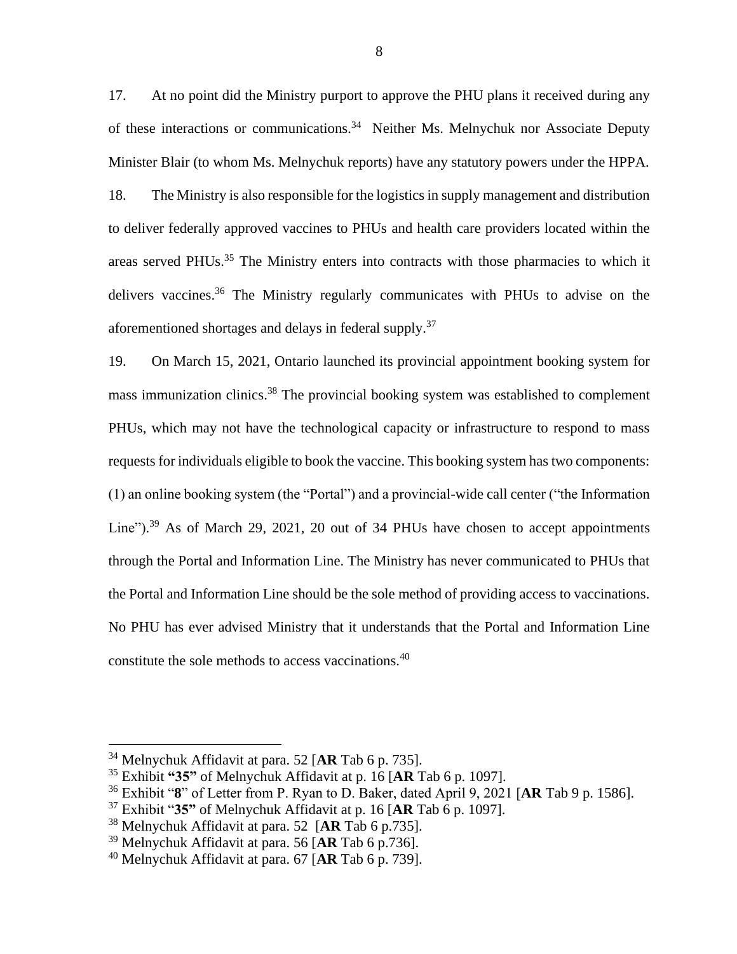17. At no point did the Ministry purport to approve the PHU plans it received during any of these interactions or communications.<sup>34</sup> Neither Ms. Melnychuk nor Associate Deputy Minister Blair (to whom Ms. Melnychuk reports) have any statutory powers under the HPPA. 18. The Ministry is also responsible for the logistics in supply management and distribution to deliver federally approved vaccines to PHUs and health care providers located within the areas served PHUs.<sup>35</sup> The Ministry enters into contracts with those pharmacies to which it delivers vaccines.<sup>36</sup> The Ministry regularly communicates with PHUs to advise on the aforementioned shortages and delays in federal supply.<sup>37</sup>

19. On March 15, 2021, Ontario launched its provincial appointment booking system for mass immunization clinics.<sup>38</sup> The provincial booking system was established to complement PHUs, which may not have the technological capacity or infrastructure to respond to mass requests for individuals eligible to book the vaccine. This booking system has two components: (1) an online booking system (the "Portal") and a provincial-wide call center ("the Information Line").<sup>39</sup> As of March 29, 2021, 20 out of 34 PHUs have chosen to accept appointments through the Portal and Information Line. The Ministry has never communicated to PHUs that the Portal and Information Line should be the sole method of providing access to vaccinations. No PHU has ever advised Ministry that it understands that the Portal and Information Line constitute the sole methods to access vaccinations.<sup>40</sup>

<sup>34</sup> Melnychuk Affidavit at para. 52 [**AR** Tab 6 p. 735].

<sup>35</sup> Exhibit **"35"** of Melnychuk Affidavit at p. 16 [**AR** Tab 6 p. 1097].

<sup>36</sup> Exhibit "**8**" of Letter from P. Ryan to D. Baker, dated April 9, 2021 [**AR** Tab 9 p. 1586].

<sup>37</sup> Exhibit "**35"** of Melnychuk Affidavit at p. 16 [**AR** Tab 6 p. 1097].

<sup>38</sup> Melnychuk Affidavit at para. 52 [**AR** Tab 6 p.735].

<sup>39</sup> Melnychuk Affidavit at para. 56 [**AR** Tab 6 p.736].

<sup>40</sup> Melnychuk Affidavit at para. 67 [**AR** Tab 6 p. 739].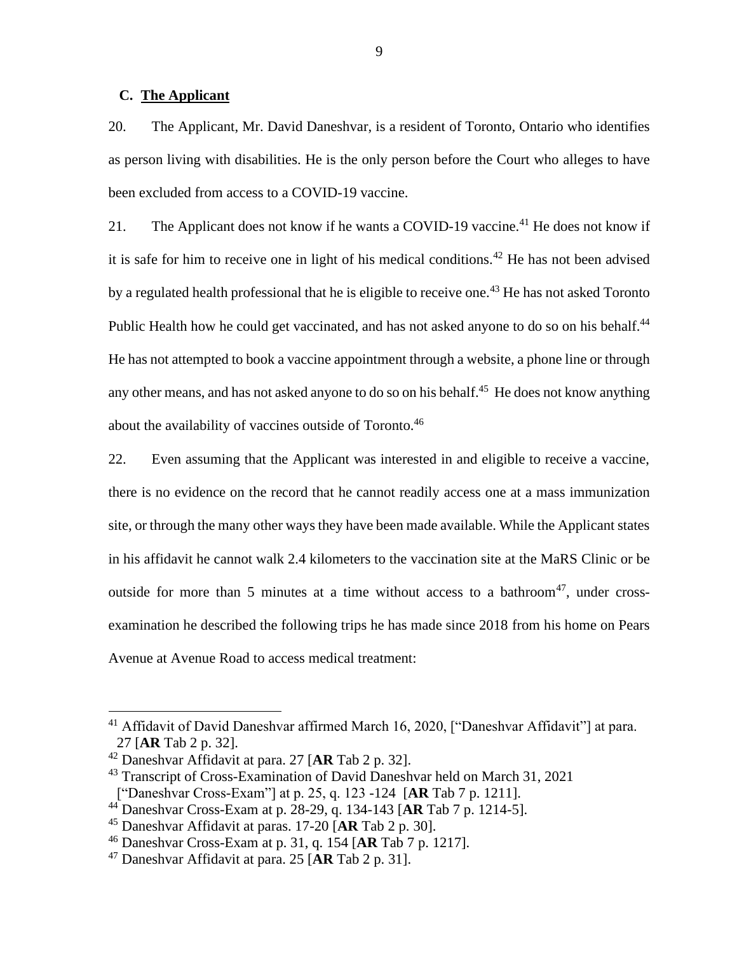#### **C. The Applicant**

20. The Applicant, Mr. David Daneshvar, is a resident of Toronto, Ontario who identifies as person living with disabilities. He is the only person before the Court who alleges to have been excluded from access to a COVID-19 vaccine.

21. The Applicant does not know if he wants a COVID-19 vaccine.<sup>41</sup> He does not know if it is safe for him to receive one in light of his medical conditions.<sup>42</sup> He has not been advised by a regulated health professional that he is eligible to receive one.<sup>43</sup> He has not asked Toronto Public Health how he could get vaccinated, and has not asked anyone to do so on his behalf.<sup>44</sup> He has not attempted to book a vaccine appointment through a website, a phone line or through any other means, and has not asked anyone to do so on his behalf.<sup>45</sup> He does not know anything about the availability of vaccines outside of Toronto.<sup>46</sup>

22. Even assuming that the Applicant was interested in and eligible to receive a vaccine, there is no evidence on the record that he cannot readily access one at a mass immunization site, or through the many other ways they have been made available. While the Applicant states in his affidavit he cannot walk 2.4 kilometers to the vaccination site at the MaRS Clinic or be outside for more than 5 minutes at a time without access to a bathroom<sup>47</sup>, under crossexamination he described the following trips he has made since 2018 from his home on Pears Avenue at Avenue Road to access medical treatment:

<sup>&</sup>lt;sup>41</sup> Affidavit of David Daneshvar affirmed March 16, 2020, ["Daneshvar Affidavit"] at para. 27 [**AR** Tab 2 p. 32].

<sup>42</sup> Daneshvar Affidavit at para. 27 [**AR** Tab 2 p. 32].

<sup>&</sup>lt;sup>43</sup> Transcript of Cross-Examination of David Daneshvar held on March 31, 2021 ["Daneshvar Cross-Exam"] at p. 25, q. 123 -124 [**AR** Tab 7 p. 1211].

<sup>44</sup> Daneshvar Cross-Exam at p. 28-29, q. 134-143 [**AR** Tab 7 p. 1214-5].

<sup>45</sup> Daneshvar Affidavit at paras. 17-20 [**AR** Tab 2 p. 30].

<sup>46</sup> Daneshvar Cross-Exam at p. 31, q. 154 [**AR** Tab 7 p. 1217].

<sup>47</sup> Daneshvar Affidavit at para. 25 [**AR** Tab 2 p. 31].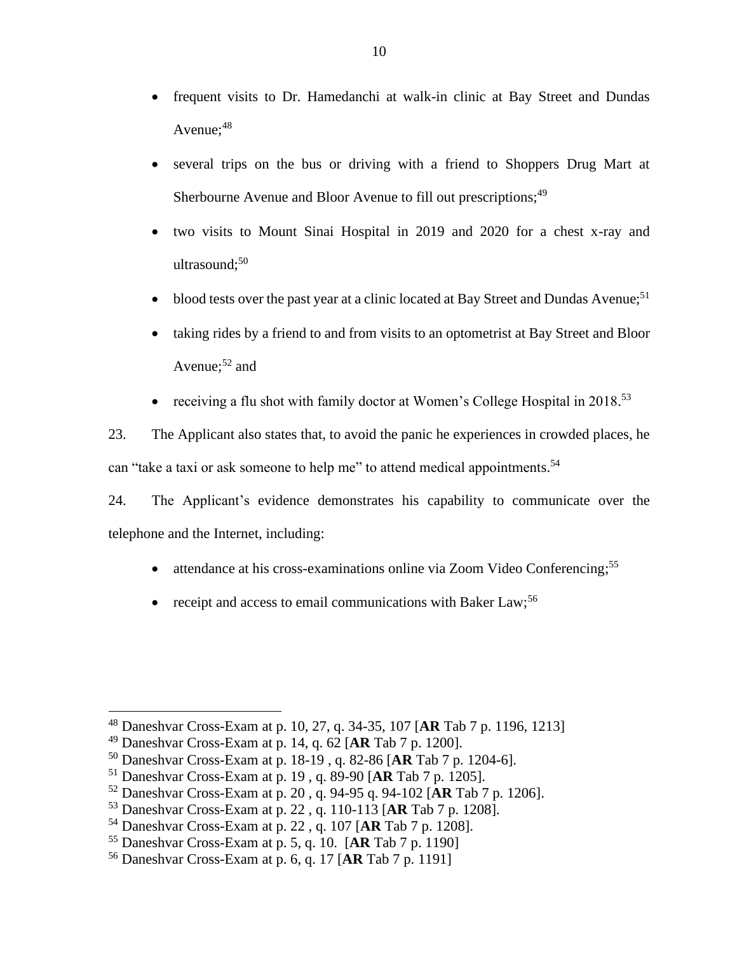- frequent visits to Dr. Hamedanchi at walk-in clinic at Bay Street and Dundas Avenue;<sup>48</sup>
- several trips on the bus or driving with a friend to Shoppers Drug Mart at Sherbourne Avenue and Bloor Avenue to fill out prescriptions;<sup>49</sup>
- two visits to Mount Sinai Hospital in 2019 and 2020 for a chest x-ray and ultrasound; 50
- blood tests over the past year at a clinic located at Bay Street and Dundas Avenue;<sup>51</sup>
- taking rides by a friend to and from visits to an optometrist at Bay Street and Bloor Avenue;<sup>52</sup> and
- receiving a flu shot with family doctor at Women's College Hospital in 2018.<sup>53</sup>

23. The Applicant also states that, to avoid the panic he experiences in crowded places, he can "take a taxi or ask someone to help me" to attend medical appointments.<sup>54</sup>

24. The Applicant's evidence demonstrates his capability to communicate over the telephone and the Internet, including:

- attendance at his cross-examinations online via Zoom Video Conferencing;<sup>55</sup>
- receipt and access to email communications with Baker Law;<sup>56</sup>

<sup>48</sup> Daneshvar Cross-Exam at p. 10, 27, q. 34-35, 107 [**AR** Tab 7 p. 1196, 1213]

<sup>49</sup> Daneshvar Cross-Exam at p. 14, q. 62 [**AR** Tab 7 p. 1200].

<sup>50</sup> Daneshvar Cross-Exam at p. 18-19 , q. 82-86 [**AR** Tab 7 p. 1204-6].

<sup>51</sup> Daneshvar Cross-Exam at p. 19 , q. 89-90 [**AR** Tab 7 p. 1205].

<sup>52</sup> Daneshvar Cross-Exam at p. 20 , q. 94-95 q. 94-102 [**AR** Tab 7 p. 1206].

<sup>53</sup> Daneshvar Cross-Exam at p. 22 , q. 110-113 [**AR** Tab 7 p. 1208].

<sup>54</sup> Daneshvar Cross-Exam at p. 22 , q. 107 [**AR** Tab 7 p. 1208].

<sup>55</sup> Daneshvar Cross-Exam at p. 5, q. 10. [**AR** Tab 7 p. 1190]

<sup>56</sup> Daneshvar Cross-Exam at p. 6, q. 17 [**AR** Tab 7 p. 1191]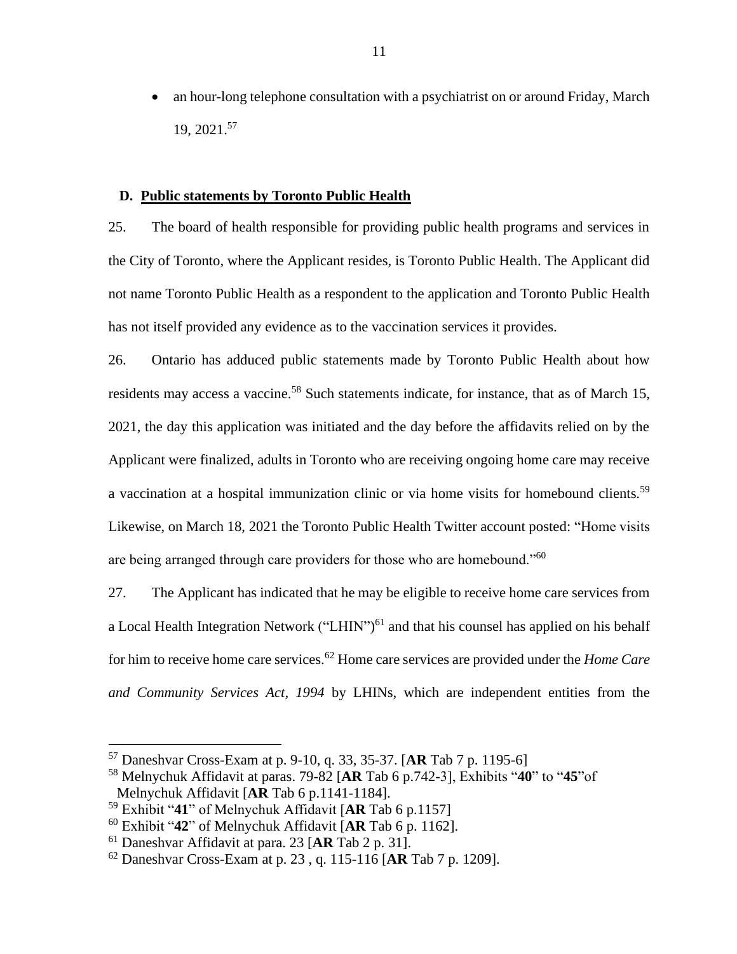• an hour-long telephone consultation with a psychiatrist on or around Friday, March 19, 2021. 57

### **D. Public statements by Toronto Public Health**

25. The board of health responsible for providing public health programs and services in the City of Toronto, where the Applicant resides, is Toronto Public Health. The Applicant did not name Toronto Public Health as a respondent to the application and Toronto Public Health has not itself provided any evidence as to the vaccination services it provides.

26. Ontario has adduced public statements made by Toronto Public Health about how residents may access a vaccine.<sup>58</sup> Such statements indicate, for instance, that as of March 15, 2021, the day this application was initiated and the day before the affidavits relied on by the Applicant were finalized, adults in Toronto who are receiving ongoing home care may receive a vaccination at a hospital immunization clinic or via home visits for homebound clients.<sup>59</sup> Likewise, on March 18, 2021 the Toronto Public Health Twitter account posted: "Home visits are being arranged through care providers for those who are homebound."<sup>60</sup>

27. The Applicant has indicated that he may be eligible to receive home care services from a Local Health Integration Network ("LHIN")<sup>61</sup> and that his counsel has applied on his behalf for him to receive home care services.<sup>62</sup> Home care services are provided under the *Home Care and Community Services Act, 1994* by LHINs, which are independent entities from the

<sup>57</sup> Daneshvar Cross-Exam at p. 9-10, q. 33, 35-37. [**AR** Tab 7 p. 1195-6]

<sup>58</sup> Melnychuk Affidavit at paras. 79-82 [**AR** Tab 6 p.742-3], Exhibits "**40**" to "**45**"of Melnychuk Affidavit [**AR** Tab 6 p.1141-1184].

<sup>59</sup> Exhibit "**41**" of Melnychuk Affidavit [**AR** Tab 6 p.1157]

<sup>60</sup> Exhibit "**42**" of Melnychuk Affidavit [**AR** Tab 6 p. 1162].

<sup>61</sup> Daneshvar Affidavit at para. 23 [**AR** Tab 2 p. 31].

<sup>62</sup> Daneshvar Cross-Exam at p. 23 , q. 115-116 [**AR** Tab 7 p. 1209].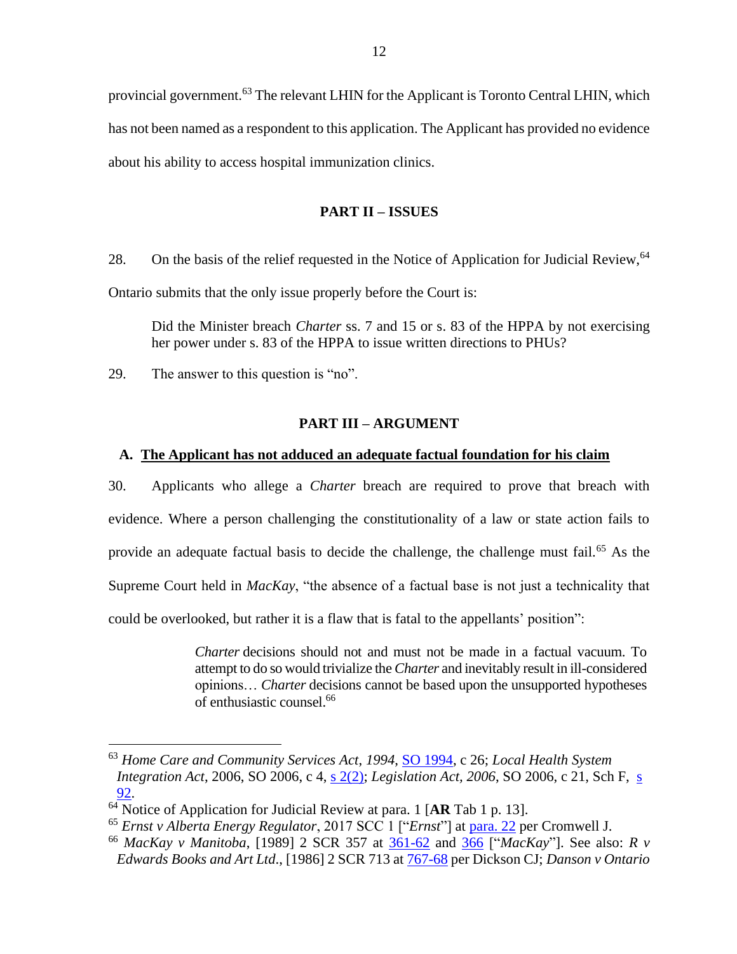provincial government.<sup>63</sup> The relevant LHIN for the Applicant is Toronto Central LHIN, which has not been named as a respondent to this application. The Applicant has provided no evidence about his ability to access hospital immunization clinics.

# **PART II – ISSUES**

28. On the basis of the relief requested in the Notice of Application for Judicial Review, <sup>64</sup>

Ontario submits that the only issue properly before the Court is:

Did the Minister breach *Charter* ss. 7 and 15 or s. 83 of the HPPA by not exercising her power under s. 83 of the HPPA to issue written directions to PHUs?

29. The answer to this question is "no".

# **PART III – ARGUMENT**

## **A. The Applicant has not adduced an adequate factual foundation for his claim**

30. Applicants who allege a *Charter* breach are required to prove that breach with evidence. Where a person challenging the constitutionality of a law or state action fails to provide an adequate factual basis to decide the challenge, the challenge must fail.<sup>65</sup> As the Supreme Court held in *MacKay*, "the absence of a factual base is not just a technicality that could be overlooked, but rather it is a flaw that is fatal to the appellants' position":

> *Charter* decisions should not and must not be made in a factual vacuum. To attempt to do so would trivialize the *Charter* and inevitably result in ill-considered opinions… *Charter* decisions cannot be based upon the unsupported hypotheses of enthusiastic counsel.<sup>66</sup>

<sup>63</sup> *Home Care and Community Services Act*, *1994*, [SO 1994,](https://canlii.ca/t/2vs) c 26; *Local Health System Integration Act*, 2006, SO 2006, c 4, [s 2\(2\);](https://canlii.ca/t/347#sec2) *Legislation Act, 2006*, SO 2006, c 21, Sch F, [s](https://canlii.ca/t/33s#sec92)  [92.](https://canlii.ca/t/33s#sec92)

<sup>64</sup> Notice of Application for Judicial Review at para. 1 [**AR** Tab 1 p. 13].

<sup>65</sup> *Ernst v Alberta Energy Regulator*, 2017 SCC 1 ["*Ernst*"] at [para. 22](https://canlii.ca/t/gwvg7#par22) per Cromwell J.

<sup>66</sup> *MacKay v Manitoba*, [1989] 2 SCR 357 at [361-62](https://www.canlii.org/en/ca/scc/doc/1989/1989canlii26/1989canlii26.pdf#page=5) and [366](https://www.canlii.org/en/ca/scc/doc/1989/1989canlii26/1989canlii26.pdf#page=10) ["*MacKay*"]. See also: *R v Edwards Books and Art Ltd*., [1986] 2 SCR 713 at [767-68](https://www.canlii.org/en/ca/scc/doc/1986/1986canlii12/1986canlii12.pdf#page=55) per Dickson CJ; *Danson v Ontario*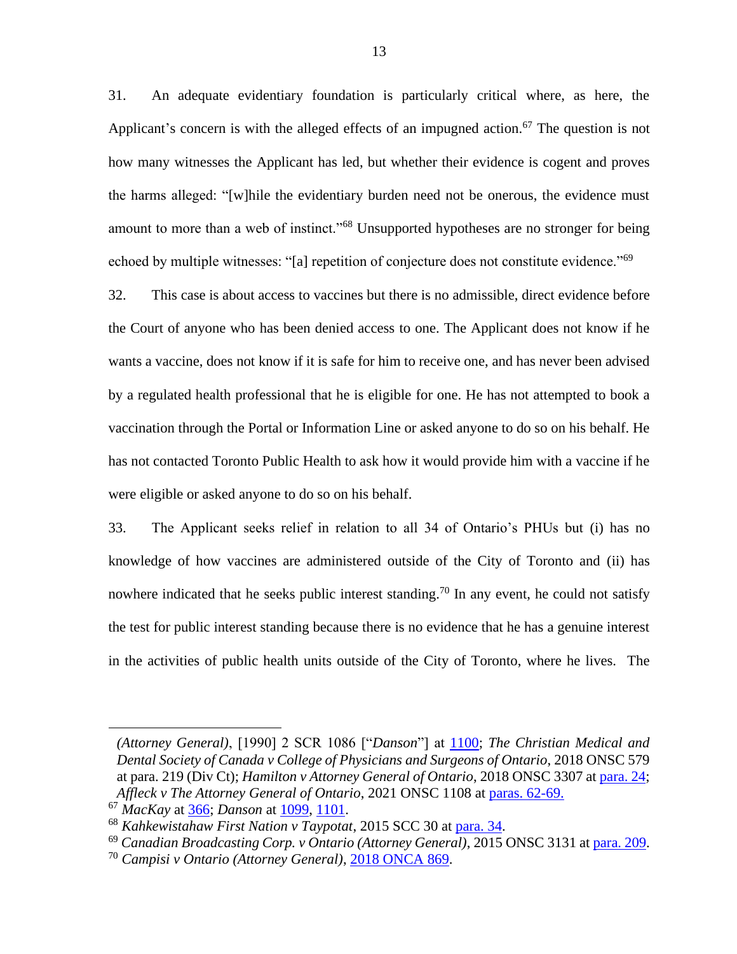31. An adequate evidentiary foundation is particularly critical where, as here, the Applicant's concern is with the alleged effects of an impugned action.<sup>67</sup> The question is not how many witnesses the Applicant has led, but whether their evidence is cogent and proves the harms alleged: "[w]hile the evidentiary burden need not be onerous, the evidence must amount to more than a web of instinct."<sup>68</sup> Unsupported hypotheses are no stronger for being echoed by multiple witnesses: "[a] repetition of conjecture does not constitute evidence."<sup>69</sup>

32. This case is about access to vaccines but there is no admissible, direct evidence before the Court of anyone who has been denied access to one. The Applicant does not know if he wants a vaccine, does not know if it is safe for him to receive one, and has never been advised by a regulated health professional that he is eligible for one. He has not attempted to book a vaccination through the Portal or Information Line or asked anyone to do so on his behalf. He has not contacted Toronto Public Health to ask how it would provide him with a vaccine if he were eligible or asked anyone to do so on his behalf.

33. The Applicant seeks relief in relation to all 34 of Ontario's PHUs but (i) has no knowledge of how vaccines are administered outside of the City of Toronto and (ii) has nowhere indicated that he seeks public interest standing.<sup>70</sup> In any event, he could not satisfy the test for public interest standing because there is no evidence that he has a genuine interest in the activities of public health units outside of the City of Toronto, where he lives. The

*<sup>(</sup>Attorney General)*, [1990] 2 SCR 1086 ["*Danson*"] at [1100;](https://www.canlii.org/en/ca/scc/doc/1990/1990canlii93/1990canlii93.pdf#page=15) *The Christian Medical and Dental Society of Canada v College of Physicians and Surgeons of Ontario*, 2018 ONSC 579 at para. 219 (Div Ct); *Hamilton v Attorney General of Ontario*, 2018 ONSC 3307 at [para. 24;](https://canlii.ca/t/hq4hn#par24) *Affleck v The Attorney General of Ontario*, 2021 ONSC 1108 at [paras. 62-69.](https://canlii.ca/t/jd8v8#par62) 

<sup>67</sup> *MacKay* at [366;](https://www.canlii.org/en/ca/scc/doc/1989/1989canlii26/1989canlii26.pdf#page=10) *Danson* at [1099,](https://www.canlii.org/en/ca/scc/doc/1990/1990canlii93/1990canlii93.pdf#page=14) [1101.](https://www.canlii.org/en/ca/scc/doc/1990/1990canlii93/1990canlii93.pdf#page=16)

<sup>68</sup> *Kahkewistahaw First Nation v Taypotat*, 2015 SCC 30 at [para. 34.](https://canlii.ca/t/gj637#par34)

<sup>69</sup> *Canadian Broadcasting Corp. v Ontario (Attorney General)*, 2015 ONSC 3131 a[t para. 209.](https://canlii.ca/t/gkdpq#par209)

<sup>70</sup> *Campisi v Ontario (Attorney General)*, [2018 ONCA 869.](https://canlii.ca/t/hvzz5)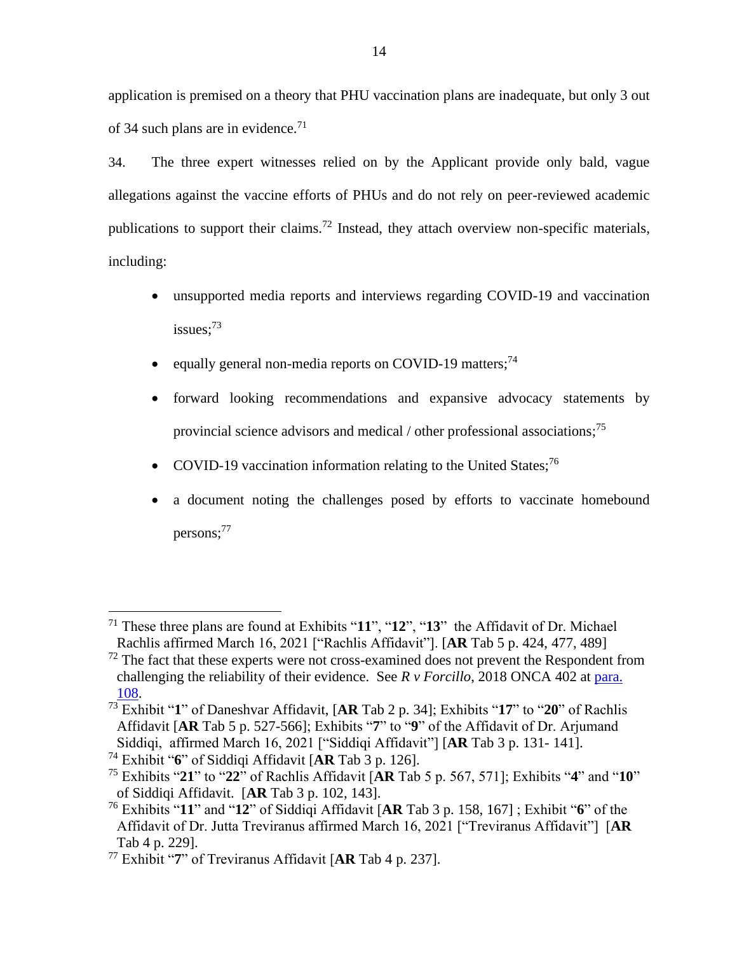application is premised on a theory that PHU vaccination plans are inadequate, but only 3 out of 34 such plans are in evidence.<sup>71</sup>

34. The three expert witnesses relied on by the Applicant provide only bald, vague allegations against the vaccine efforts of PHUs and do not rely on peer-reviewed academic publications to support their claims.<sup>72</sup> Instead, they attach overview non-specific materials, including:

- unsupported media reports and interviews regarding COVID-19 and vaccination issues; $^{73}$
- equally general non-media reports on COVID-19 matters;<sup>74</sup>
- forward looking recommendations and expansive advocacy statements by provincial science advisors and medical / other professional associations;<sup>75</sup>
- COVID-19 vaccination information relating to the United States:<sup>76</sup>
- a document noting the challenges posed by efforts to vaccinate homebound persons:<sup>77</sup>

<sup>71</sup> These three plans are found at Exhibits "**11**", "**12**", "**13**" the Affidavit of Dr. Michael Rachlis affirmed March 16, 2021 ["Rachlis Affidavit"]. [**AR** Tab 5 p. 424, 477, 489]

 $<sup>72</sup>$  The fact that these experts were not cross-examined does not prevent the Respondent from</sup> challenging the reliability of their evidence. See *R v Forcillo*, 2018 ONCA 402 at [para.](https://canlii.ca/t/hrqkb#par108)  [108.](https://canlii.ca/t/hrqkb#par108)

<sup>73</sup> Exhibit "**1**" of Daneshvar Affidavit, [**AR** Tab 2 p. 34]; Exhibits "**17**" to "**20**" of Rachlis Affidavit [**AR** Tab 5 p. 527-566]; Exhibits "**7**" to "**9**" of the Affidavit of Dr. Arjumand Siddiqi, affirmed March 16, 2021 ["Siddiqi Affidavit"] [**AR** Tab 3 p. 131- 141].

<sup>74</sup> Exhibit "**6**" of Siddiqi Affidavit [**AR** Tab 3 p. 126].

<sup>75</sup> Exhibits "**21**" to "**22**" of Rachlis Affidavit [**AR** Tab 5 p. 567, 571]; Exhibits "**4**" and "**10**" of Siddiqi Affidavit. [**AR** Tab 3 p. 102, 143].

<sup>76</sup> Exhibits "**11**" and "**12**" of Siddiqi Affidavit [**AR** Tab 3 p. 158, 167] ; Exhibit "**6**" of the Affidavit of Dr. Jutta Treviranus affirmed March 16, 2021 ["Treviranus Affidavit"] [**AR**  Tab 4 p. 229].

<sup>77</sup> Exhibit "**7**" of Treviranus Affidavit [**AR** Tab 4 p. 237].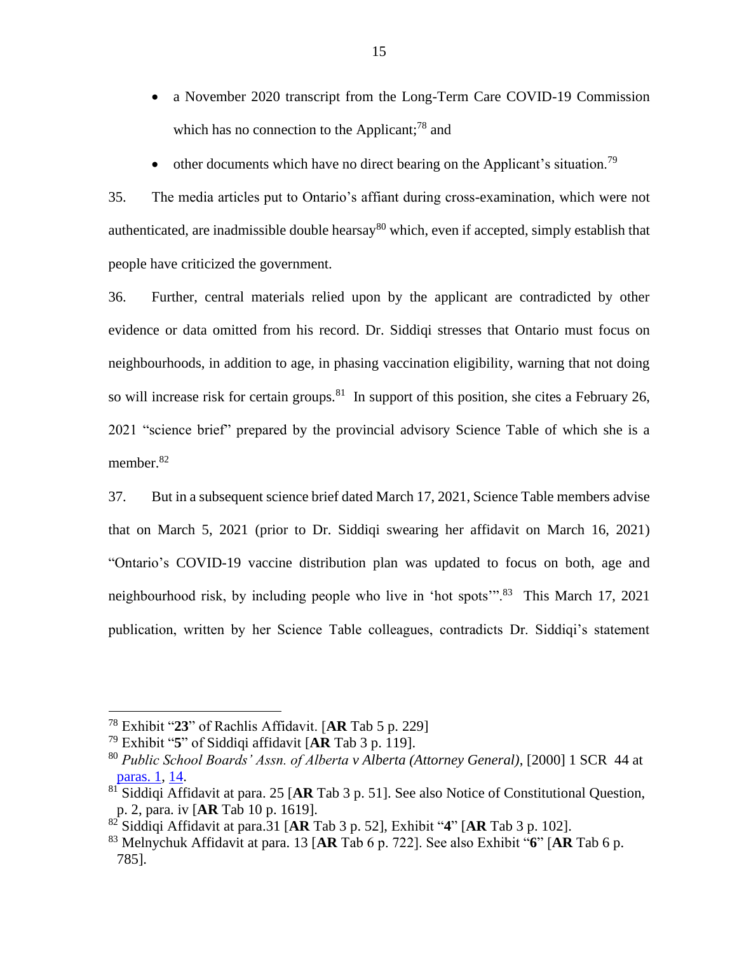- a November 2020 transcript from the Long-Term Care COVID-19 Commission which has no connection to the Applicant;<sup>78</sup> and
- other documents which have no direct bearing on the Applicant's situation.<sup>79</sup>

35. The media articles put to Ontario's affiant during cross-examination, which were not authenticated, are inadmissible double hearsay<sup>80</sup> which, even if accepted, simply establish that people have criticized the government.

36. Further, central materials relied upon by the applicant are contradicted by other evidence or data omitted from his record. Dr. Siddiqi stresses that Ontario must focus on neighbourhoods, in addition to age, in phasing vaccination eligibility, warning that not doing so will increase risk for certain groups.<sup>81</sup> In support of this position, she cites a February 26, 2021 "science brief" prepared by the provincial advisory Science Table of which she is a member.<sup>82</sup>

37. But in a subsequent science brief dated March 17, 2021, Science Table members advise that on March 5, 2021 (prior to Dr. Siddiqi swearing her affidavit on March 16, 2021) "Ontario's COVID-19 vaccine distribution plan was updated to focus on both, age and neighbourhood risk, by including people who live in 'hot spots'".<sup>83</sup> This March 17, 2021 publication, written by her Science Table colleagues, contradicts Dr. Siddiqi's statement

<sup>78</sup> Exhibit "**23**" of Rachlis Affidavit. [**AR** Tab 5 p. 229]

<sup>79</sup> Exhibit "**5**" of Siddiqi affidavit [**AR** Tab 3 p. 119].

<sup>80</sup> *Public School Boards' Assn. of Alberta v Alberta (Attorney General)*, [2000] 1 SCR 44 at [paras. 1,](https://canlii.ca/t/5274#par1) [14.](https://canlii.ca/t/5274#par14)

<sup>81</sup> Siddiqi Affidavit at para. 25 [**AR** Tab 3 p. 51]. See also Notice of Constitutional Question, p. 2, para. iv [**AR** Tab 10 p. 1619].

<sup>82</sup> Siddiqi Affidavit at para.31 [**AR** Tab 3 p. 52], Exhibit "**4**" [**AR** Tab 3 p. 102].

<sup>83</sup> Melnychuk Affidavit at para. 13 [**AR** Tab 6 p. 722]. See also Exhibit "**6**" [**AR** Tab 6 p. 785].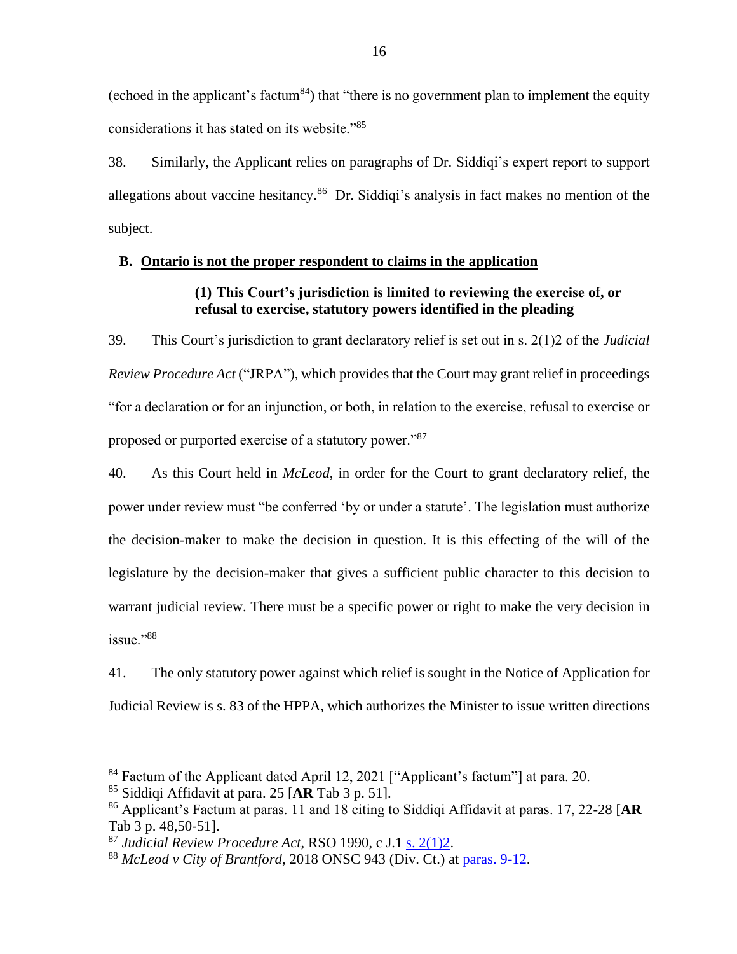(echoed in the applicant's factum<sup>84</sup>) that "there is no government plan to implement the equity considerations it has stated on its website."<sup>85</sup>

38. Similarly, the Applicant relies on paragraphs of Dr. Siddiqi's expert report to support allegations about vaccine hesitancy.<sup>86</sup> Dr. Siddiqi's analysis in fact makes no mention of the subject.

# **B. Ontario is not the proper respondent to claims in the application**

# **(1) This Court's jurisdiction is limited to reviewing the exercise of, or refusal to exercise, statutory powers identified in the pleading**

39. This Court's jurisdiction to grant declaratory relief is set out in s. 2(1)2 of the *Judicial Review Procedure Act* ("JRPA"), which provides that the Court may grant relief in proceedings "for a declaration or for an injunction, or both, in relation to the exercise, refusal to exercise or proposed or purported exercise of a statutory power."<sup>87</sup>

40. As this Court held in *McLeod*, in order for the Court to grant declaratory relief, the power under review must "be conferred 'by or under a statute'. The legislation must authorize the decision-maker to make the decision in question. It is this effecting of the will of the legislature by the decision-maker that gives a sufficient public character to this decision to warrant judicial review. There must be a specific power or right to make the very decision in issue."<sup>88</sup>

41. The only statutory power against which relief is sought in the Notice of Application for Judicial Review is s. 83 of the HPPA, which authorizes the Minister to issue written directions

<sup>&</sup>lt;sup>84</sup> Factum of the Applicant dated April 12, 2021 ["Applicant's factum"] at para. 20.

<sup>85</sup> Siddiqi Affidavit at para. 25 [**AR** Tab 3 p. 51].

<sup>86</sup> Applicant's Factum at paras. 11 and 18 citing to Siddiqi Affidavit at paras. 17, 22-28 [**AR**  Tab 3 p. 48,50-51].

<sup>87</sup> *Judicial Review Procedure Act*, RSO 1990, c J.1 [s. 2\(1\)2.](https://canlii.ca/t/2g8#sec2)

<sup>88</sup> *McLeod v City of Brantford*, 2018 ONSC 943 (Div. Ct.) at [paras. 9-12.](https://canlii.ca/t/hq9gh#par9)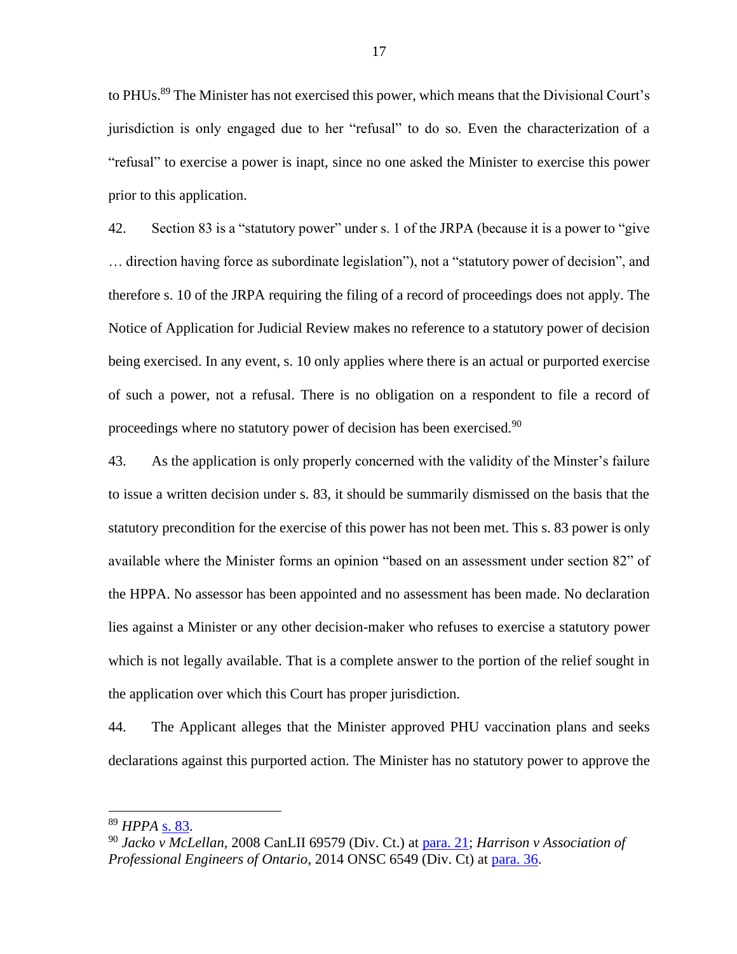to PHUs.<sup>89</sup> The Minister has not exercised this power, which means that the Divisional Court's jurisdiction is only engaged due to her "refusal" to do so. Even the characterization of a "refusal" to exercise a power is inapt, since no one asked the Minister to exercise this power prior to this application.

42. Section 83 is a "statutory power" under s. 1 of the JRPA (because it is a power to "give … direction having force as subordinate legislation"), not a "statutory power of decision", and therefore s. 10 of the JRPA requiring the filing of a record of proceedings does not apply. The Notice of Application for Judicial Review makes no reference to a statutory power of decision being exercised. In any event, s. 10 only applies where there is an actual or purported exercise of such a power, not a refusal. There is no obligation on a respondent to file a record of proceedings where no statutory power of decision has been exercised.<sup>90</sup>

43. As the application is only properly concerned with the validity of the Minster's failure to issue a written decision under s. 83, it should be summarily dismissed on the basis that the statutory precondition for the exercise of this power has not been met. This s. 83 power is only available where the Minister forms an opinion "based on an assessment under section 82" of the HPPA. No assessor has been appointed and no assessment has been made. No declaration lies against a Minister or any other decision-maker who refuses to exercise a statutory power which is not legally available. That is a complete answer to the portion of the relief sought in the application over which this Court has proper jurisdiction.

44. The Applicant alleges that the Minister approved PHU vaccination plans and seeks declarations against this purported action. The Minister has no statutory power to approve the

<sup>89</sup> *HPPA* [s. 83.](https://canlii.ca/t/2fp#sec83)

<sup>90</sup> *Jacko v McLellan*, 2008 CanLII 69579 (Div. Ct.) at [para. 21;](https://canlii.ca/t/2226k#par21) *Harrison v Association of Professional Engineers of Ontario*, 2014 ONSC 6549 (Div. Ct) at [para. 36.](https://canlii.ca/t/gf8pc#par36)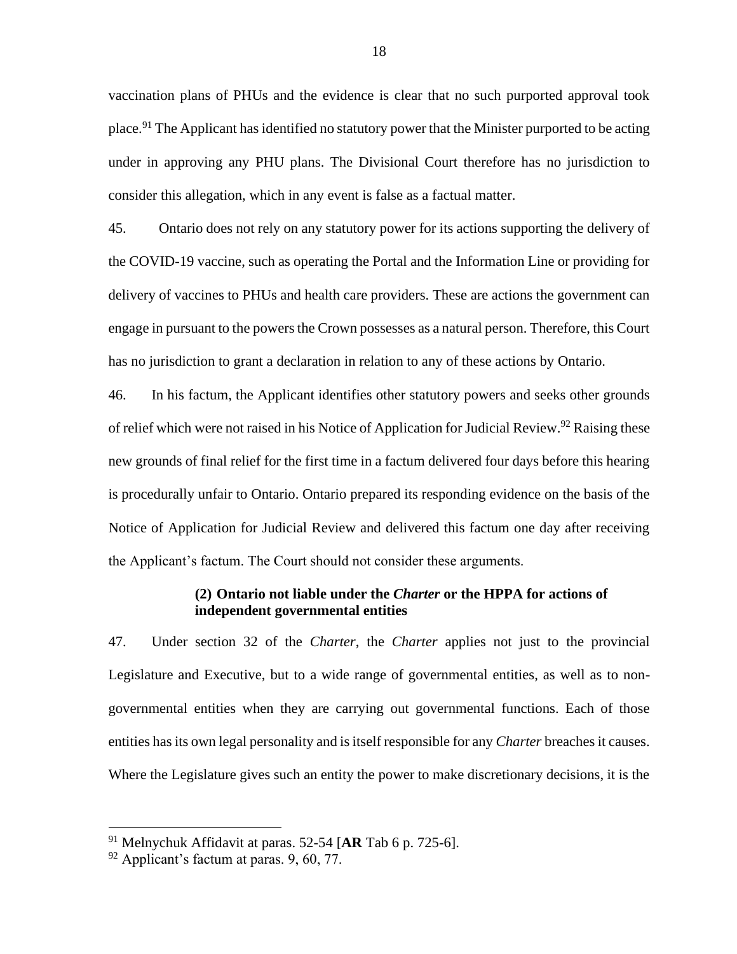vaccination plans of PHUs and the evidence is clear that no such purported approval took place.<sup>91</sup> The Applicant has identified no statutory power that the Minister purported to be acting under in approving any PHU plans. The Divisional Court therefore has no jurisdiction to consider this allegation, which in any event is false as a factual matter.

45. Ontario does not rely on any statutory power for its actions supporting the delivery of the COVID-19 vaccine, such as operating the Portal and the Information Line or providing for delivery of vaccines to PHUs and health care providers. These are actions the government can engage in pursuant to the powers the Crown possesses as a natural person. Therefore, this Court has no jurisdiction to grant a declaration in relation to any of these actions by Ontario.

46. In his factum, the Applicant identifies other statutory powers and seeks other grounds of relief which were not raised in his Notice of Application for Judicial Review.<sup>92</sup> Raising these new grounds of final relief for the first time in a factum delivered four days before this hearing is procedurally unfair to Ontario. Ontario prepared its responding evidence on the basis of the Notice of Application for Judicial Review and delivered this factum one day after receiving the Applicant's factum. The Court should not consider these arguments.

### **(2) Ontario not liable under the** *Charter* **or the HPPA for actions of independent governmental entities**

47. Under section 32 of the *Charter*, the *Charter* applies not just to the provincial Legislature and Executive, but to a wide range of governmental entities, as well as to nongovernmental entities when they are carrying out governmental functions. Each of those entities has its own legal personality and is itself responsible for any *Charter* breaches it causes. Where the Legislature gives such an entity the power to make discretionary decisions, it is the

<sup>91</sup> Melnychuk Affidavit at paras. 52-54 [**AR** Tab 6 p. 725-6].

 $92$  Applicant's factum at paras. 9, 60, 77.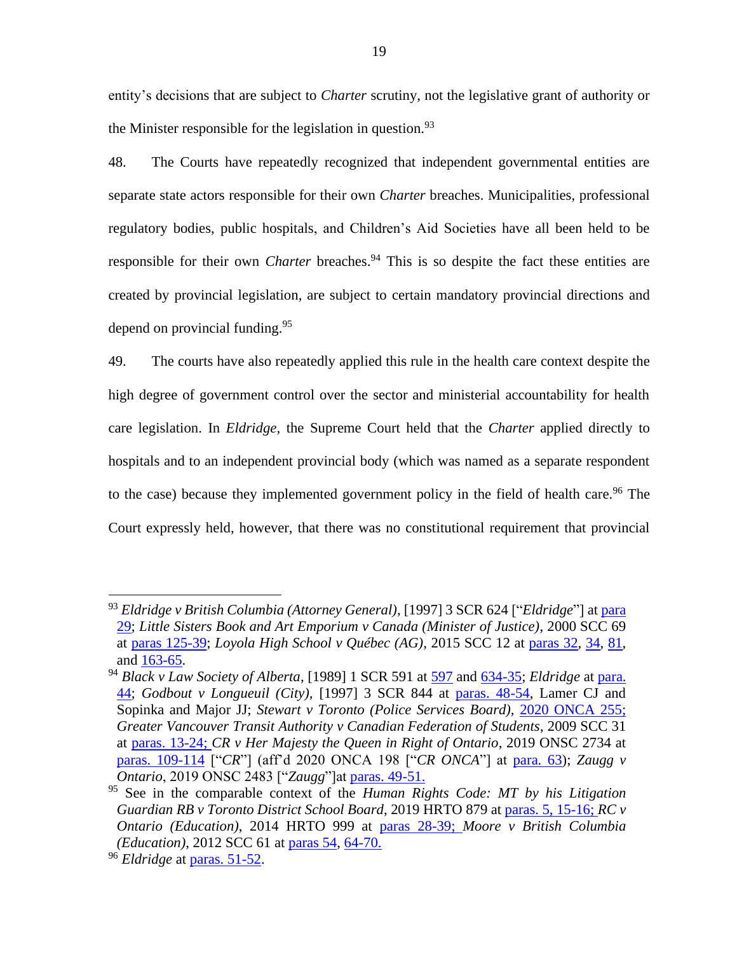entity's decisions that are subject to *Charter* scrutiny, not the legislative grant of authority or the Minister responsible for the legislation in question.  $93$ 

48. The Courts have repeatedly recognized that independent governmental entities are separate state actors responsible for their own *Charter* breaches. Municipalities, professional regulatory bodies, public hospitals, and Children's Aid Societies have all been held to be responsible for their own *Charter* breaches.<sup>94</sup> This is so despite the fact these entities are created by provincial legislation, are subject to certain mandatory provincial directions and depend on provincial funding. 95

49. The courts have also repeatedly applied this rule in the health care context despite the high degree of government control over the sector and ministerial accountability for health care legislation. In *Eldridge*, the Supreme Court held that the *Charter* applied directly to hospitals and to an independent provincial body (which was named as a separate respondent to the case) because they implemented government policy in the field of health care.<sup>96</sup> The Court expressly held, however, that there was no constitutional requirement that provincial

<sup>93</sup> *Eldridge v British Columbia (Attorney General)*, [1997] 3 SCR 624 ["*Eldridge*"] at [para](https://www.canlii.org/en/ca/scc/doc/1997/1997canlii327/1997canlii327.pdf#page=27)  [29;](https://www.canlii.org/en/ca/scc/doc/1997/1997canlii327/1997canlii327.pdf#page=27) *Little Sisters Book and Art Emporium v Canada (Minister of Justice)*, 2000 SCC 69 at [paras 125-39;](http://canlii.ca/t/5239#par125) *Loyola High School v Québec (AG)*, 2015 SCC 12 at [paras 32,](http://canlii.ca/t/ggrhf#par32) [34,](http://canlii.ca/t/ggrhf#par34) [81,](http://canlii.ca/t/ggrhf#par81) and [163-65.](http://canlii.ca/t/ggrhf#par163)

<sup>94</sup> *Black v Law Society of Alberta*, [1989] 1 SCR 591 at [597](https://www.canlii.org/en/ca/scc/doc/1989/1989canlii132/1989canlii132.pdf#page=7) and [634-35;](https://www.canlii.org/en/ca/scc/doc/1989/1989canlii132/1989canlii132.pdf#page=44) *Eldridge* at [para.](https://www.canlii.org/en/ca/scc/doc/1997/1997canlii327/1997canlii327.pdf#page=38)  [44;](https://www.canlii.org/en/ca/scc/doc/1997/1997canlii327/1997canlii327.pdf#page=38) *Godbout v Longueuil (City),* [1997] 3 SCR 844 at [paras. 48-54,](http://canlii.ca/t/1fqxp#par48) Lamer CJ and Sopinka and Major JJ; *Stewart v Toronto (Police Services Board),* [2020 ONCA 255;](http://canlii.ca/t/j6fwl) *Greater Vancouver Transit Authority v Canadian Federation of Students*, 2009 SCC 31 at [paras. 13-24;](http://canlii.ca/t/24cnk#par13) *CR v Her Majesty the Queen in Right of Ontario*, 2019 ONSC 2734 at [paras. 109-114](http://canlii.ca/t/j1kbp#par109) ["*CR*"] (aff'd 2020 ONCA 198 ["*CR ONCA*"] at [para. 63\)](http://canlii.ca/t/j7s39#par63); *Zaugg v Ontario*, 2019 ONSC 2483 ["*Zaugg*"]at [paras. 49-51.](http://canlii.ca/t/j03gb#par49)

<sup>95</sup> See in the comparable context of the *Human Rights Code: MT by his Litigation Guardian RB v Toronto District School Board*, 2019 HRTO 879 at [paras. 5, 15-16;](http://canlii.ca/t/j0lc9#par5) *RC v Ontario (Education)*, 2014 HRTO 999 at [paras 28-39;](http://canlii.ca/t/g812l#par28) *Moore v British Columbia (Education)*, 2012 SCC 61 at [paras 54,](http://canlii.ca/t/ftp16#par54) [64-70.](http://canlii.ca/t/ftp16#par64)

<sup>96</sup> *Eldridge* at [paras.](https://canlii.ca/t/1fqx5#par51) 51-52.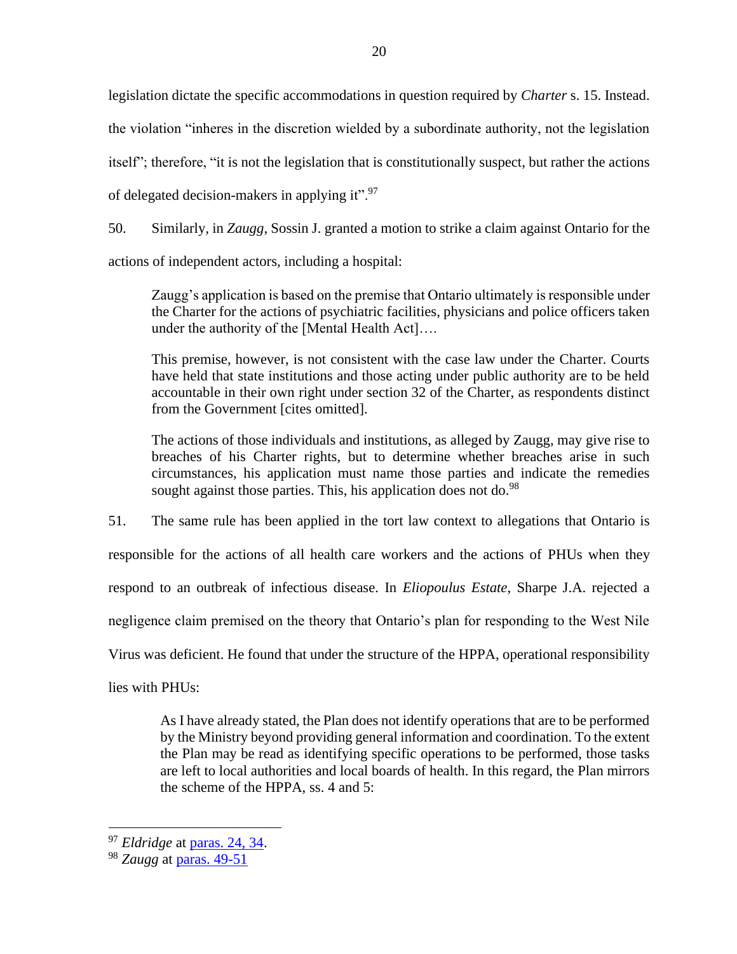legislation dictate the specific accommodations in question required by *Charter* s. 15. Instead. the violation "inheres in the discretion wielded by a subordinate authority, not the legislation itself"; therefore, "it is not the legislation that is constitutionally suspect, but rather the actions of delegated decision-makers in applying it". $97$ 

50. Similarly, in *Zaugg*, Sossin J. granted a motion to strike a claim against Ontario for the actions of independent actors, including a hospital:

Zaugg's application is based on the premise that Ontario ultimately is responsible under the Charter for the actions of psychiatric facilities, physicians and police officers taken under the authority of the [Mental Health Act]….

This premise, however, is not consistent with the case law under the Charter. Courts have held that state institutions and those acting under public authority are to be held accountable in their own right under section 32 of the Charter, as respondents distinct from the Government [cites omitted].

The actions of those individuals and institutions, as alleged by Zaugg, may give rise to breaches of his Charter rights, but to determine whether breaches arise in such circumstances, his application must name those parties and indicate the remedies sought against those parties. This, his application does not do.<sup>98</sup>

51. The same rule has been applied in the tort law context to allegations that Ontario is responsible for the actions of all health care workers and the actions of PHUs when they respond to an outbreak of infectious disease. In *Eliopoulus Estate*, Sharpe J.A. rejected a negligence claim premised on the theory that Ontario's plan for responding to the West Nile Virus was deficient. He found that under the structure of the HPPA, operational responsibility lies with PHUs:

As I have already stated, the Plan does not identify operations that are to be performed by the Ministry beyond providing general information and coordination. To the extent the Plan may be read as identifying specific operations to be performed, those tasks are left to local authorities and local boards of health. In this regard, the Plan mirrors the scheme of the HPPA, ss. 4 and 5:

<sup>97</sup> *Eldridge* at paras. [24, 34.](https://canlii.ca/t/1fqx5#par24)

<sup>98</sup> *Zaugg* at [paras. 49-51](http://canlii.ca/t/j03gb#par9)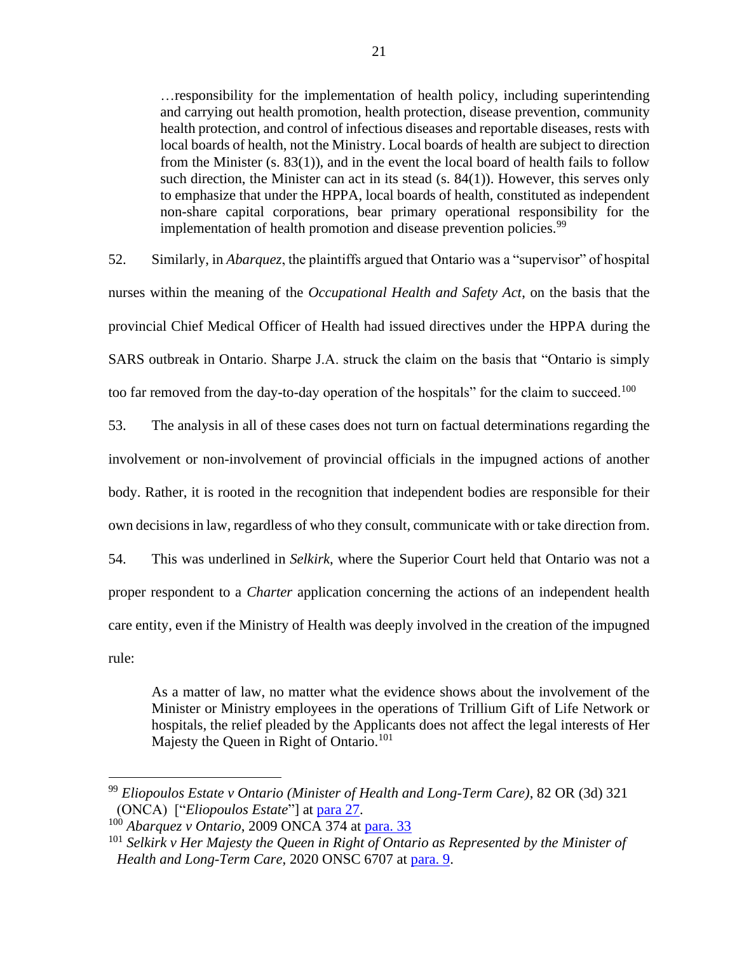…responsibility for the implementation of health policy, including superintending and carrying out health promotion, health protection, disease prevention, community health protection, and control of infectious diseases and reportable diseases, rests with local boards of health, not the Ministry. Local boards of health are subject to direction from the Minister (s. 83(1)), and in the event the local board of health fails to follow such direction, the Minister can act in its stead (s. 84(1)). However, this serves only to emphasize that under the HPPA, local boards of health, constituted as independent non-share capital corporations, bear primary operational responsibility for the implementation of health promotion and disease prevention policies.<sup>99</sup>

52. Similarly, in *Abarquez*, the plaintiffs argued that Ontario was a "supervisor" of hospital nurses within the meaning of the *Occupational Health and Safety Act*, on the basis that the provincial Chief Medical Officer of Health had issued directives under the HPPA during the SARS outbreak in Ontario. Sharpe J.A. struck the claim on the basis that "Ontario is simply too far removed from the day-to-day operation of the hospitals" for the claim to succeed.<sup>100</sup>

53. The analysis in all of these cases does not turn on factual determinations regarding the involvement or non-involvement of provincial officials in the impugned actions of another body. Rather, it is rooted in the recognition that independent bodies are responsible for their own decisions in law, regardless of who they consult, communicate with or take direction from.

54. This was underlined in *Selkirk*, where the Superior Court held that Ontario was not a proper respondent to a *Charter* application concerning the actions of an independent health care entity, even if the Ministry of Health was deeply involved in the creation of the impugned rule:

As a matter of law, no matter what the evidence shows about the involvement of the Minister or Ministry employees in the operations of Trillium Gift of Life Network or hospitals, the relief pleaded by the Applicants does not affect the legal interests of Her Majesty the Queen in Right of Ontario.<sup>101</sup>

<sup>99</sup> *Eliopoulos Estate v Ontario (Minister of Health and Long-Term Care)*, 82 OR (3d) 321 (ONCA) ["*Eliopoulos Estate*"] at [para 27.](https://canlii.ca/t/1pxbt#par27)

<sup>100</sup> *Abarquez v Ontario*, 2009 ONCA 374 at [para. 33](http://canlii.ca/t/23gvs#par33)

<sup>101</sup> *Selkirk v Her Majesty the Queen in Right of Ontario as Represented by the Minister of Health and Long-Term Care*, 2020 ONSC 6707 at [para. 9.](https://canlii.ca/t/jbckn#par9)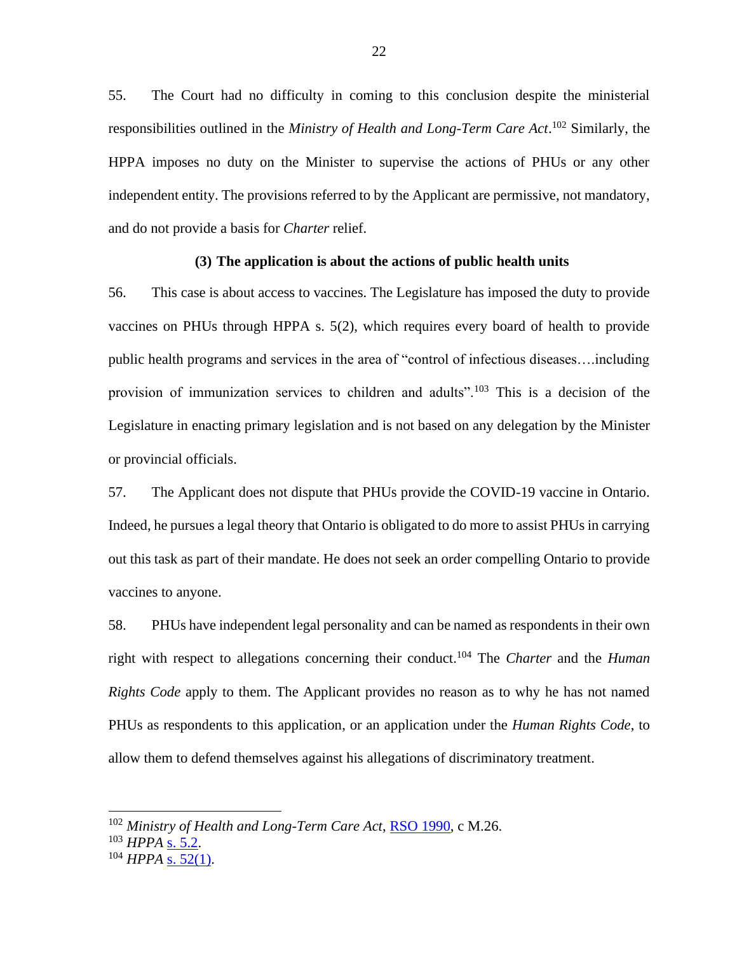55. The Court had no difficulty in coming to this conclusion despite the ministerial responsibilities outlined in the *Ministry of Health and Long-Term Care Act*. <sup>102</sup> Similarly, the HPPA imposes no duty on the Minister to supervise the actions of PHUs or any other independent entity. The provisions referred to by the Applicant are permissive, not mandatory, and do not provide a basis for *Charter* relief.

### **(3) The application is about the actions of public health units**

56. This case is about access to vaccines. The Legislature has imposed the duty to provide vaccines on PHUs through HPPA s. 5(2), which requires every board of health to provide public health programs and services in the area of "control of infectious diseases….including provision of immunization services to children and adults".<sup>103</sup> This is a decision of the Legislature in enacting primary legislation and is not based on any delegation by the Minister or provincial officials.

57. The Applicant does not dispute that PHUs provide the COVID-19 vaccine in Ontario. Indeed, he pursues a legal theory that Ontario is obligated to do more to assist PHUs in carrying out this task as part of their mandate. He does not seek an order compelling Ontario to provide vaccines to anyone.

58. PHUs have independent legal personality and can be named as respondents in their own right with respect to allegations concerning their conduct.<sup>104</sup> The *Charter* and the *Human Rights Code* apply to them. The Applicant provides no reason as to why he has not named PHUs as respondents to this application, or an application under the *Human Rights Code*, to allow them to defend themselves against his allegations of discriminatory treatment.

<sup>102</sup> *Ministry of Health and Long-Term Care Act*, [RSO 1990,](https://canlii.ca/t/54cff) c M.26.

<sup>103</sup> *HPPA* [s. 5.2.](https://canlii.ca/t/2fp#sec5)

<sup>104</sup> *HPPA* [s. 52\(1\).](https://canlii.ca/t/2fp#sec52)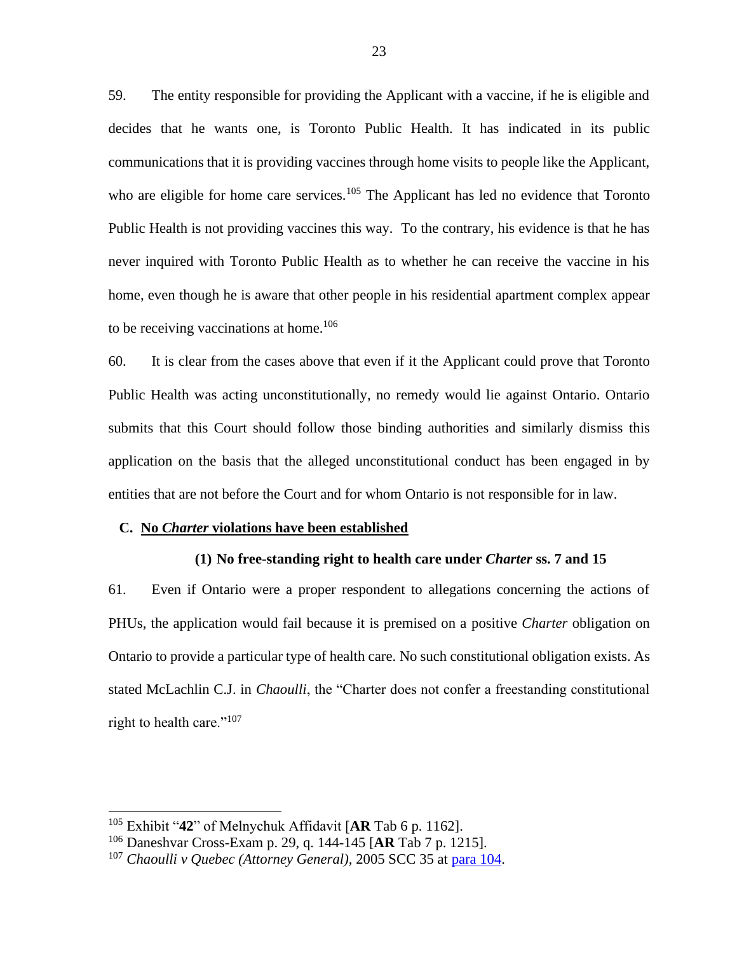59. The entity responsible for providing the Applicant with a vaccine, if he is eligible and decides that he wants one, is Toronto Public Health. It has indicated in its public communications that it is providing vaccines through home visits to people like the Applicant, who are eligible for home care services.<sup>105</sup> The Applicant has led no evidence that Toronto Public Health is not providing vaccines this way. To the contrary, his evidence is that he has never inquired with Toronto Public Health as to whether he can receive the vaccine in his home, even though he is aware that other people in his residential apartment complex appear to be receiving vaccinations at home.<sup>106</sup>

60. It is clear from the cases above that even if it the Applicant could prove that Toronto Public Health was acting unconstitutionally, no remedy would lie against Ontario. Ontario submits that this Court should follow those binding authorities and similarly dismiss this application on the basis that the alleged unconstitutional conduct has been engaged in by entities that are not before the Court and for whom Ontario is not responsible for in law.

#### **C. No** *Charter* **violations have been established**

#### **(1) No free-standing right to health care under** *Charter* **ss. 7 and 15**

61. Even if Ontario were a proper respondent to allegations concerning the actions of PHUs, the application would fail because it is premised on a positive *Charter* obligation on Ontario to provide a particular type of health care. No such constitutional obligation exists. As stated McLachlin C.J. in *Chaoulli*, the "Charter does not confer a freestanding constitutional right to health care."<sup>107</sup>

<sup>105</sup> Exhibit "**42**" of Melnychuk Affidavit [**AR** Tab 6 p. 1162].

<sup>106</sup> Daneshvar Cross-Exam p. 29, q. 144-145 [**AR** Tab 7 p. 1215].

<sup>107</sup> *Chaoulli v Quebec (Attorney General),* 2005 SCC 35 at [para 104.](https://canlii.ca/t/1kxrh#par104)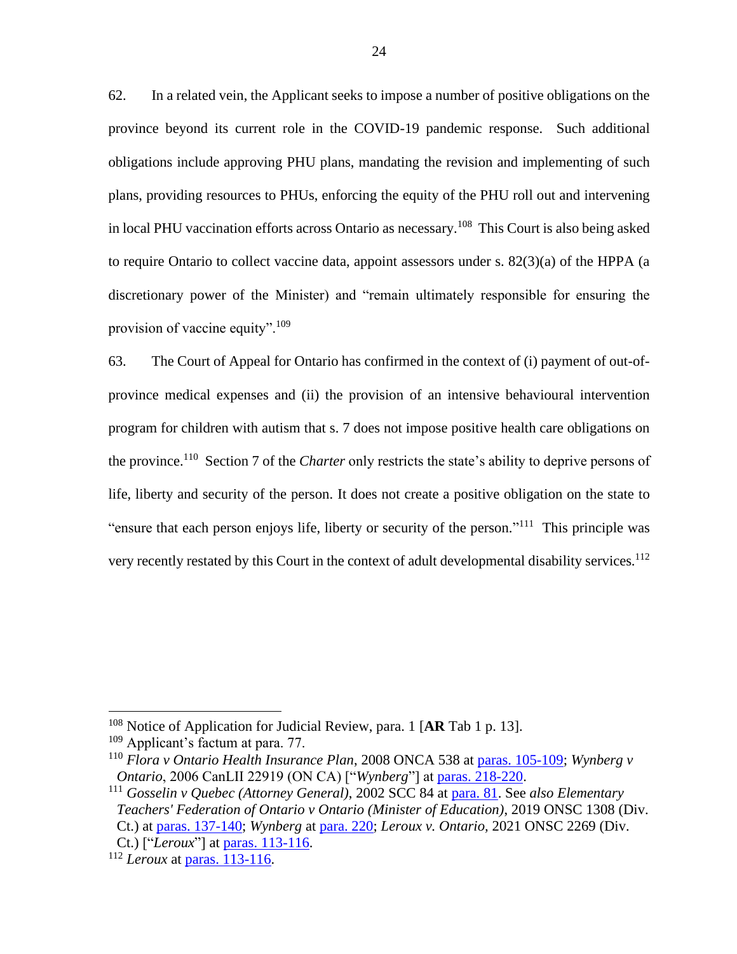62. In a related vein, the Applicant seeks to impose a number of positive obligations on the province beyond its current role in the COVID-19 pandemic response. Such additional obligations include approving PHU plans, mandating the revision and implementing of such plans, providing resources to PHUs, enforcing the equity of the PHU roll out and intervening in local PHU vaccination efforts across Ontario as necessary.<sup>108</sup> This Court is also being asked to require Ontario to collect vaccine data, appoint assessors under s. 82(3)(a) of the HPPA (a discretionary power of the Minister) and "remain ultimately responsible for ensuring the provision of vaccine equity".<sup>109</sup>

63. The Court of Appeal for Ontario has confirmed in the context of (i) payment of out-ofprovince medical expenses and (ii) the provision of an intensive behavioural intervention program for children with autism that s. 7 does not impose positive health care obligations on the province.<sup>110</sup> Section 7 of the *Charter* only restricts the state's ability to deprive persons of life, liberty and security of the person. It does not create a positive obligation on the state to "ensure that each person enjoys life, liberty or security of the person."<sup>111</sup> This principle was very recently restated by this Court in the context of adult developmental disability services.<sup>112</sup>

<sup>108</sup> Notice of Application for Judicial Review, para. 1 [**AR** Tab 1 p. 13].

<sup>&</sup>lt;sup>109</sup> Applicant's factum at para. 77.

<sup>110</sup> *Flora v Ontario Health Insurance Plan*, 2008 ONCA 538 at [paras. 105-109;](https://canlii.ca/t/1z90d#par105) *Wynberg v Ontario*, 2006 CanLII 22919 (ON CA) ["*Wynberg*"] at [paras. 218-220.](https://canlii.ca/t/1nwd6#par218)

<sup>111</sup> *Gosselin v Quebec (Attorney General)*, 2002 SCC 84 at [para. 81.](https://canlii.ca/t/1g2w1#par81) See *also Elementary Teachers' Federation of Ontario v Ontario (Minister of Education)*, 2019 ONSC 1308 (Div. Ct.) at paras. [137-140;](https://canlii.ca/t/hxrqb#par137) *Wynberg* at [para. 220;](https://canlii.ca/t/1nwd6#par220) *Leroux v. Ontario,* 2021 ONSC 2269 (Div.

Ct.) ["*Leroux*"] at paras. [113-116.](https://canlii.ca/t/jdz83#par113)

<sup>112</sup> *Leroux* at [paras. 113-116.](https://canlii.ca/t/jdz83#par113)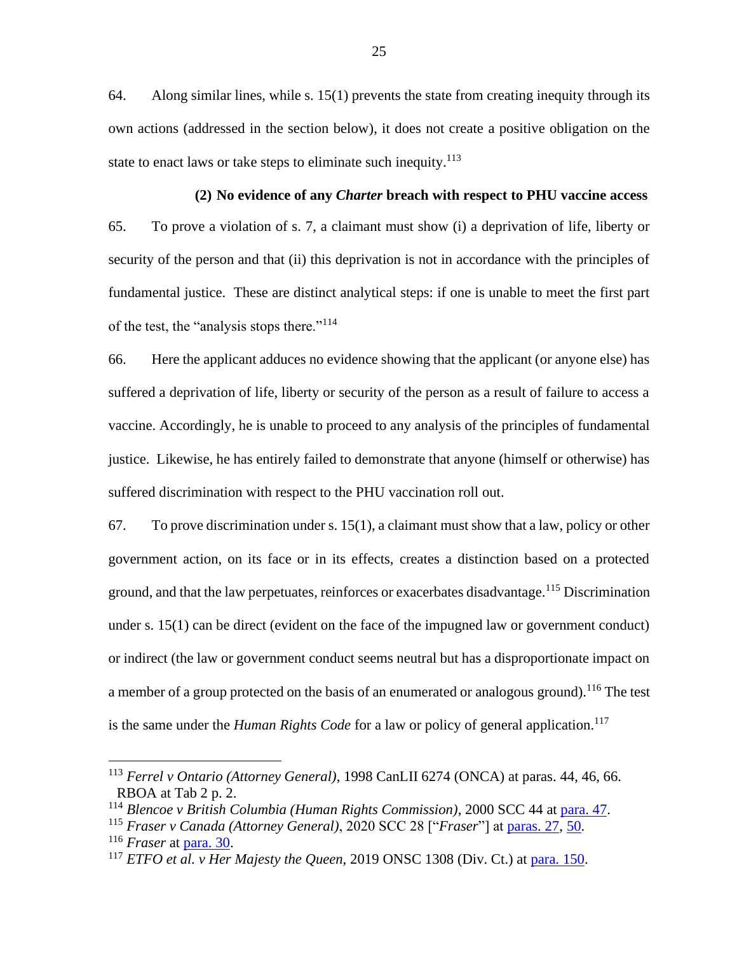64. Along similar lines, while s. 15(1) prevents the state from creating inequity through its own actions (addressed in the section below), it does not create a positive obligation on the state to enact laws or take steps to eliminate such inequity. $113$ 

**(2) No evidence of any** *Charter* **breach with respect to PHU vaccine access**  65. To prove a violation of s. 7, a claimant must show (i) a deprivation of life, liberty or security of the person and that (ii) this deprivation is not in accordance with the principles of fundamental justice. These are distinct analytical steps: if one is unable to meet the first part of the test, the "analysis stops there."<sup>114</sup>

66. Here the applicant adduces no evidence showing that the applicant (or anyone else) has suffered a deprivation of life, liberty or security of the person as a result of failure to access a vaccine. Accordingly, he is unable to proceed to any analysis of the principles of fundamental justice. Likewise, he has entirely failed to demonstrate that anyone (himself or otherwise) has suffered discrimination with respect to the PHU vaccination roll out.

67. To prove discrimination under s. 15(1), a claimant must show that a law, policy or other government action, on its face or in its effects, creates a distinction based on a protected ground, and that the law perpetuates, reinforces or exacerbates disadvantage.<sup>115</sup> Discrimination under s. 15(1) can be direct (evident on the face of the impugned law or government conduct) or indirect (the law or government conduct seems neutral but has a disproportionate impact on a member of a group protected on the basis of an enumerated or analogous ground).<sup>116</sup> The test is the same under the *Human Rights Code* for a law or policy of general application. 117

<sup>113</sup> *Ferrel v Ontario (Attorney General)*, 1998 CanLII 6274 (ONCA) at paras. 44, 46, 66. RBOA at Tab 2 p. 2.

<sup>114</sup> *Blencoe v British Columbia (Human Rights Commission)*, 2000 SCC 44 at [para. 47.](https://canlii.ca/t/525t#par47)

<sup>115</sup> *Fraser v Canada (Attorney General)*, 2020 SCC 28 ["*Fraser*"] at [paras. 27,](https://canlii.ca/t/jb370#par27) [50.](https://canlii.ca/t/jb370#par50)

<sup>116</sup> *Fraser* at [para. 30.](https://canlii.ca/t/jb370#par30)

<sup>117</sup> *ETFO et al. v Her Majesty the Queen,* 2019 ONSC 1308 (Div. Ct.) at [para. 150.](https://canlii.ca/t/hxrqb#par150)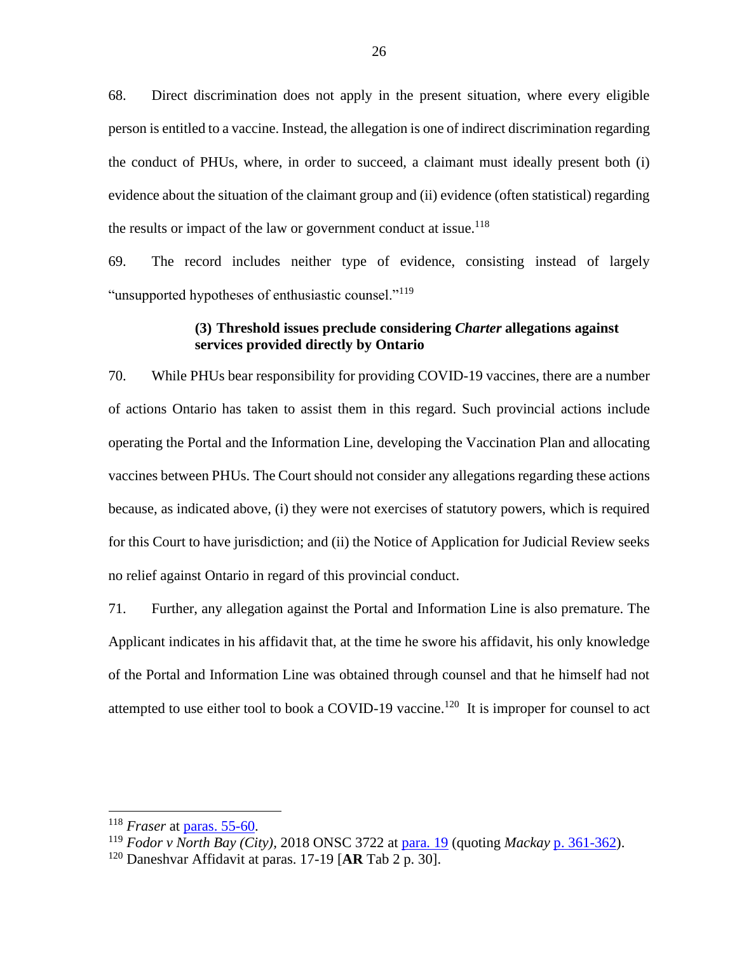68. Direct discrimination does not apply in the present situation, where every eligible person is entitled to a vaccine. Instead, the allegation is one of indirect discrimination regarding the conduct of PHUs, where, in order to succeed, a claimant must ideally present both (i) evidence about the situation of the claimant group and (ii) evidence (often statistical) regarding the results or impact of the law or government conduct at issue.<sup>118</sup>

69. The record includes neither type of evidence, consisting instead of largely "unsupported hypotheses of enthusiastic counsel."<sup>119</sup>

### **(3) Threshold issues preclude considering** *Charter* **allegations against services provided directly by Ontario**

70. While PHUs bear responsibility for providing COVID-19 vaccines, there are a number of actions Ontario has taken to assist them in this regard. Such provincial actions include operating the Portal and the Information Line, developing the Vaccination Plan and allocating vaccines between PHUs. The Court should not consider any allegations regarding these actions because, as indicated above, (i) they were not exercises of statutory powers, which is required for this Court to have jurisdiction; and (ii) the Notice of Application for Judicial Review seeks no relief against Ontario in regard of this provincial conduct.

71. Further, any allegation against the Portal and Information Line is also premature. The Applicant indicates in his affidavit that, at the time he swore his affidavit, his only knowledge of the Portal and Information Line was obtained through counsel and that he himself had not attempted to use either tool to book a COVID-19 vaccine.<sup>120</sup> It is improper for counsel to act

<sup>118</sup> *Fraser* at [paras. 55-60.](https://canlii.ca/t/jb370#par55)

<sup>119</sup> *Fodor v North Bay (City),* 2018 ONSC 3722 at [para. 19](https://canlii.ca/t/hslf0#par19) (quoting *Mackay* [p. 361-362\)](https://www.canlii.org/en/ca/scc/doc/1989/1989canlii26/1989canlii26.pdf#page=5).

<sup>120</sup> Daneshvar Affidavit at paras. 17-19 [**AR** Tab 2 p. 30].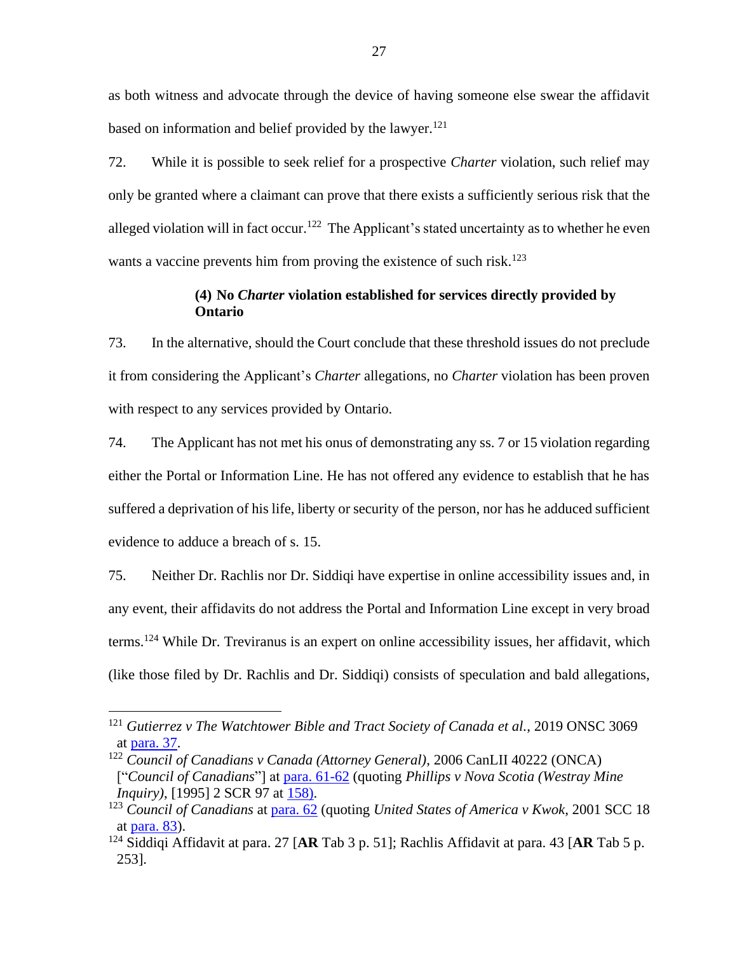as both witness and advocate through the device of having someone else swear the affidavit based on information and belief provided by the lawyer.<sup>121</sup>

72. While it is possible to seek relief for a prospective *Charter* violation, such relief may only be granted where a claimant can prove that there exists a sufficiently serious risk that the alleged violation will in fact occur.<sup>122</sup> The Applicant's stated uncertainty as to whether he even wants a vaccine prevents him from proving the existence of such risk.<sup>123</sup>

## **(4) No** *Charter* **violation established for services directly provided by Ontario**

73. In the alternative, should the Court conclude that these threshold issues do not preclude it from considering the Applicant's *Charter* allegations, no *Charter* violation has been proven with respect to any services provided by Ontario.

74. The Applicant has not met his onus of demonstrating any ss. 7 or 15 violation regarding either the Portal or Information Line. He has not offered any evidence to establish that he has suffered a deprivation of his life, liberty or security of the person, nor has he adduced sufficient evidence to adduce a breach of s. 15.

75. Neither Dr. Rachlis nor Dr. Siddiqi have expertise in online accessibility issues and, in any event, their affidavits do not address the Portal and Information Line except in very broad terms. <sup>124</sup> While Dr. Treviranus is an expert on online accessibility issues, her affidavit, which (like those filed by Dr. Rachlis and Dr. Siddiqi) consists of speculation and bald allegations,

<sup>121</sup> *Gutierrez v The Watchtower Bible and Tract Society of Canada et al.*, 2019 ONSC 3069 at [para. 37.](https://canlii.ca/t/j0ccw#par37)

<sup>122</sup> *Council of Canadians v Canada (Attorney General)*, 2006 CanLII 40222 (ONCA) ["*Council of Canadians*"] at [para. 61-62](https://canlii.ca/t/1q3cn#par61) (quoting *Phillips v Nova Scotia (Westray Mine* 

*Inquiry*), [1995] 2 SCR 97 at [158\).](https://www.canlii.org/en/ca/scc/doc/1995/1995canlii86/1995canlii86.pdf)

<sup>123</sup> *Council of Canadians* at [para. 62](https://canlii.ca/t/1q3cn#par62) (quoting *United States of America v Kwok*, 2001 SCC 18 at [para. 83\)](https://canlii.ca/t/522j#par83).

<sup>124</sup> Siddiqi Affidavit at para. 27 [**AR** Tab 3 p. 51]; Rachlis Affidavit at para. 43 [**AR** Tab 5 p. 253].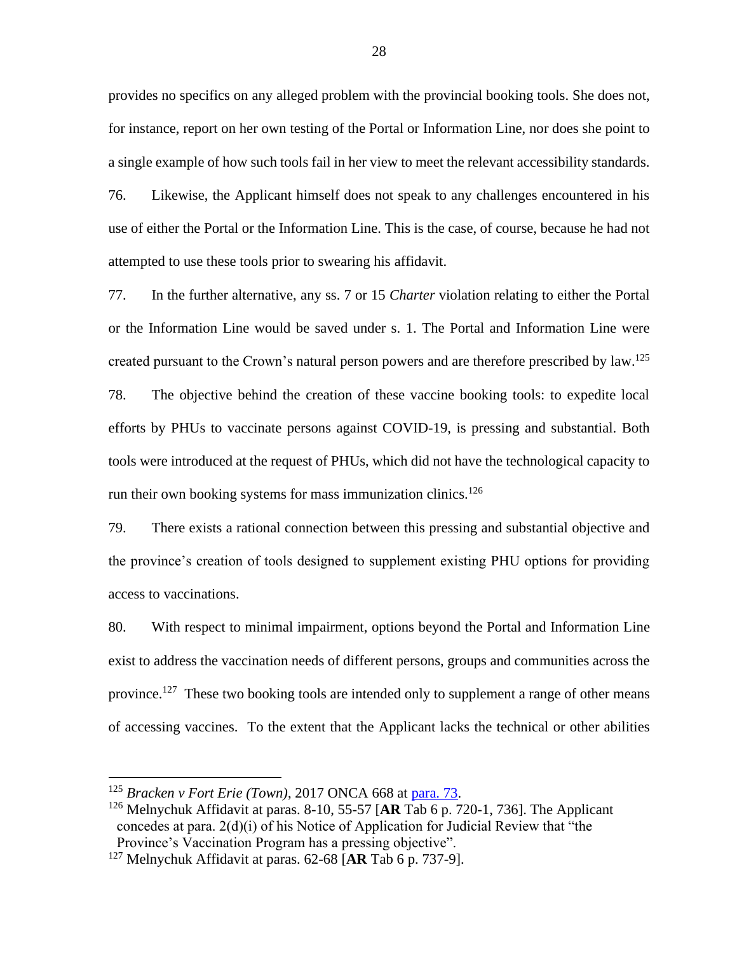provides no specifics on any alleged problem with the provincial booking tools. She does not, for instance, report on her own testing of the Portal or Information Line, nor does she point to a single example of how such tools fail in her view to meet the relevant accessibility standards. 76. Likewise, the Applicant himself does not speak to any challenges encountered in his use of either the Portal or the Information Line. This is the case, of course, because he had not attempted to use these tools prior to swearing his affidavit.

77. In the further alternative, any ss. 7 or 15 *Charter* violation relating to either the Portal or the Information Line would be saved under s. 1. The Portal and Information Line were created pursuant to the Crown's natural person powers and are therefore prescribed by law.<sup>125</sup> 78. The objective behind the creation of these vaccine booking tools: to expedite local efforts by PHUs to vaccinate persons against COVID-19, is pressing and substantial. Both tools were introduced at the request of PHUs, which did not have the technological capacity to run their own booking systems for mass immunization clinics.<sup>126</sup>

79. There exists a rational connection between this pressing and substantial objective and the province's creation of tools designed to supplement existing PHU options for providing access to vaccinations.

80. With respect to minimal impairment, options beyond the Portal and Information Line exist to address the vaccination needs of different persons, groups and communities across the province.<sup>127</sup> These two booking tools are intended only to supplement a range of other means of accessing vaccines. To the extent that the Applicant lacks the technical or other abilities

<sup>125</sup> *Bracken v Fort Erie (Town)*, 2017 ONCA 668 at [para. 73.](https://canlii.ca/t/h5tr9#par73)

<sup>126</sup> Melnychuk Affidavit at paras. 8-10, 55-57 [**AR** Tab 6 p. 720-1, 736]. The Applicant concedes at para. 2(d)(i) of his Notice of Application for Judicial Review that "the Province's Vaccination Program has a pressing objective".

<sup>127</sup> Melnychuk Affidavit at paras. 62-68 [**AR** Tab 6 p. 737-9].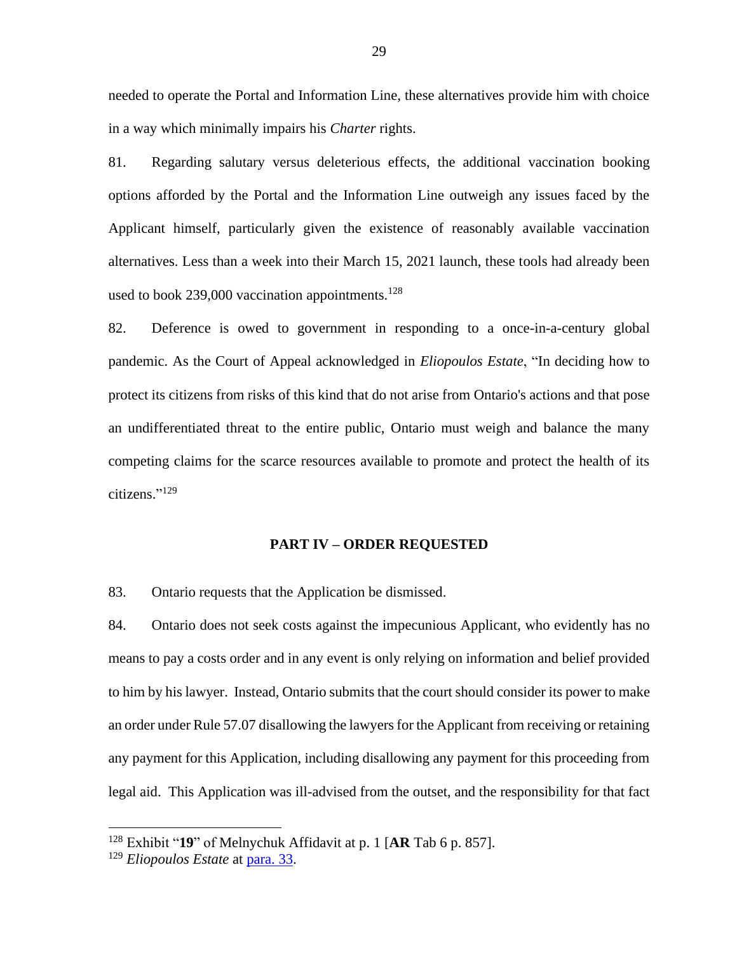needed to operate the Portal and Information Line, these alternatives provide him with choice in a way which minimally impairs his *Charter* rights.

81. Regarding salutary versus deleterious effects, the additional vaccination booking options afforded by the Portal and the Information Line outweigh any issues faced by the Applicant himself, particularly given the existence of reasonably available vaccination alternatives. Less than a week into their March 15, 2021 launch, these tools had already been used to book 239,000 vaccination appointments. $128$ 

82. Deference is owed to government in responding to a once-in-a-century global pandemic. As the Court of Appeal acknowledged in *Eliopoulos Estate*, "In deciding how to protect its citizens from risks of this kind that do not arise from Ontario's actions and that pose an undifferentiated threat to the entire public, Ontario must weigh and balance the many competing claims for the scarce resources available to promote and protect the health of its citizens." 129

#### **PART IV – ORDER REQUESTED**

83. Ontario requests that the Application be dismissed.

84. Ontario does not seek costs against the impecunious Applicant, who evidently has no means to pay a costs order and in any event is only relying on information and belief provided to him by his lawyer. Instead, Ontario submits that the court should consider its power to make an order under Rule 57.07 disallowing the lawyers for the Applicant from receiving or retaining any payment for this Application, including disallowing any payment for this proceeding from legal aid. This Application was ill-advised from the outset, and the responsibility for that fact

<sup>128</sup> Exhibit "**19**" of Melnychuk Affidavit at p. 1 [**AR** Tab 6 p. 857].

<sup>129</sup> *Eliopoulos Estate* at [para. 33.](https://canlii.ca/t/1pxbt#par33)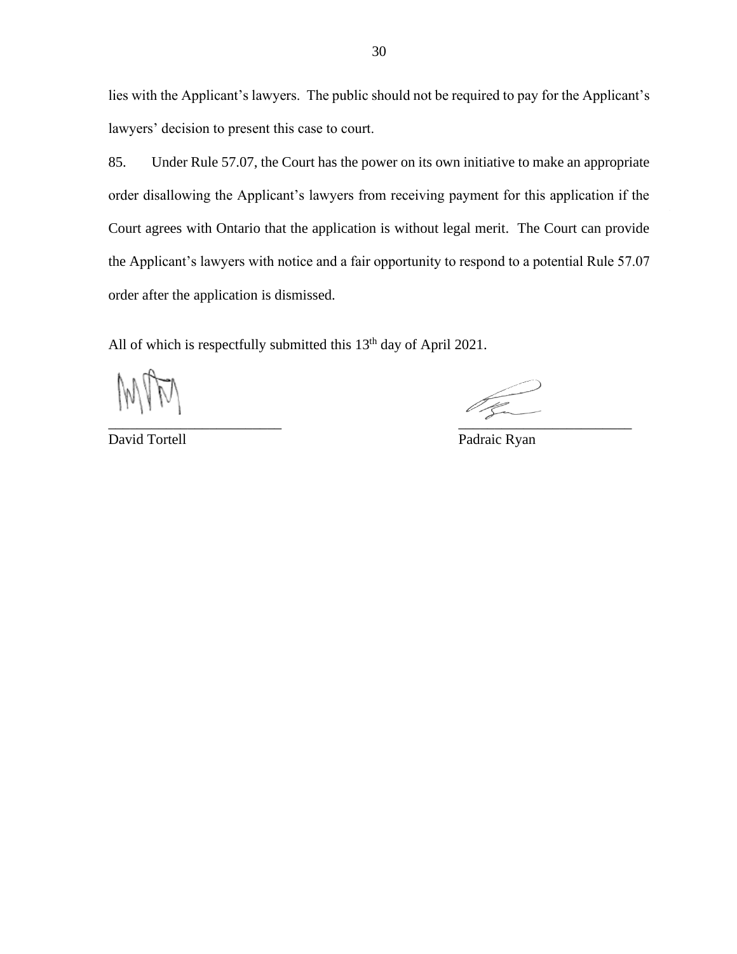lies with the Applicant's lawyers. The public should not be required to pay for the Applicant's lawyers' decision to present this case to court.

85. Under Rule 57.07, the Court has the power on its own initiative to make an appropriate order disallowing the Applicant's lawyers from receiving payment for this application if the Court agrees with Ontario that the application is without legal merit. The Court can provide the Applicant's lawyers with notice and a fair opportunity to respond to a potential Rule 57.07 order after the application is dismissed.

All of which is respectfully submitted this  $13<sup>th</sup>$  day of April 2021.

 $\overline{\phantom{a}}$  ,  $\overline{\phantom{a}}$  ,  $\overline{\phantom{a}}$  ,  $\overline{\phantom{a}}$  ,  $\overline{\phantom{a}}$  ,  $\overline{\phantom{a}}$  ,  $\overline{\phantom{a}}$  ,  $\overline{\phantom{a}}$  ,  $\overline{\phantom{a}}$  ,  $\overline{\phantom{a}}$  ,  $\overline{\phantom{a}}$  ,  $\overline{\phantom{a}}$  ,  $\overline{\phantom{a}}$  ,  $\overline{\phantom{a}}$  ,  $\overline{\phantom{a}}$  ,  $\overline{\phantom{a}}$ 

David Tortell Padraic Ryan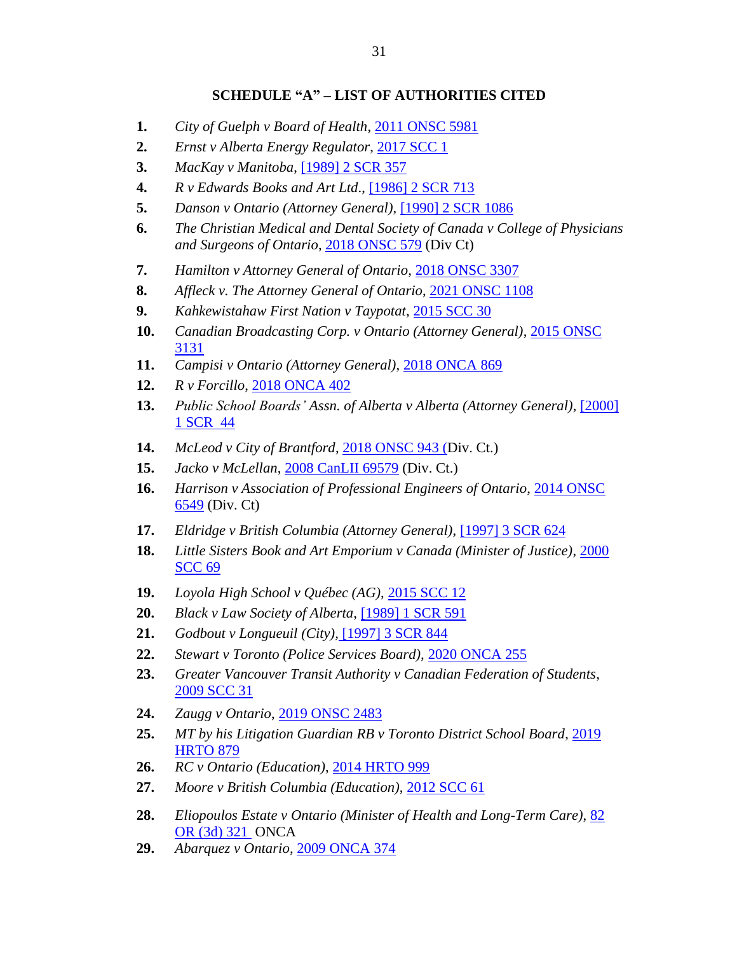## **SCHEDULE "A" – LIST OF AUTHORITIES CITED**

- **1.** *City of Guelph v Board of Health*, [2011 ONSC 5981](https://canlii.ca/t/frk04)
- **2.** *Ernst v Alberta Energy Regulator*, [2017 SCC 1](https://canlii.ca/t/gwvg7)
- **3.** *MacKay v Manitoba*, [\[1989\] 2 SCR 357](https://www.canlii.org/en/ca/scc/doc/1989/1989canlii26/1989canlii26.pdf)
- **4.** *R v Edwards Books and Art Ltd*., [\[1986\] 2 SCR 713](https://www.canlii.org/en/ca/scc/doc/1986/1986canlii12/1986canlii12.pdf)
- **5.** *Danson v Ontario (Attorney General)*, [\[1990\] 2 SCR 1086](https://www.canlii.org/en/ca/scc/doc/1990/1990canlii93/1990canlii93.pdf)
- **6.** *The Christian Medical and Dental Society of Canada v College of Physicians and Surgeons of Ontario*, [2018 ONSC 579](https://canlii.ca/t/hq4hn) (Div Ct)
- **7.** *Hamilton v Attorney General of Ontario*, [2018 ONSC 3307](https://canlii.ca/t/hq4hn)
- **8.** *Affleck v. The Attorney General of Ontario*, [2021 ONSC 1108](https://canlii.ca/t/jd8v8)
- **9.** *Kahkewistahaw First Nation v Taypotat*, [2015 SCC 30](https://canlii.ca/t/gj637)
- **10.** *Canadian Broadcasting Corp. v Ontario (Attorney General)*, [2015 ONSC](https://canlii.ca/t/gkdpq)  [3131](https://canlii.ca/t/gkdpq)
- **11.** *Campisi v Ontario (Attorney General)*, [2018 ONCA 869](https://canlii.ca/t/hvzz5)
- **12.** *R v Forcillo*, [2018 ONCA 402](https://canlii.ca/t/hrqkb)
- **13.** *Public School Boards' Assn. of Alberta v Alberta (Attorney General)*, [\[2000\]](https://canlii.ca/t/5274)  [1 SCR](https://canlii.ca/t/5274) 44
- **14.** *McLeod v City of Brantford*, [2018 ONSC 943 \(D](https://canlii.ca/t/hq9gh)iv. Ct.)
- **15.** *Jacko v McLellan*, [2008 CanLII 69579](https://canlii.ca/t/2226k) (Div. Ct.)
- **16.** *Harrison v Association of Professional Engineers of Ontario*, [2014 ONSC](https://canlii.ca/t/gf8pc)  [6549](https://canlii.ca/t/gf8pc) (Div. Ct)
- **17.** *Eldridge v British Columbia (Attorney General)*, [\[1997\] 3 SCR 624](https://www.canlii.org/en/ca/scc/doc/1997/1997canlii327/1997canlii327.pdf)
- **18.** *Little Sisters Book and Art Emporium v Canada (Minister of Justice)*, [2000](http://canlii.ca/t/5239)  [SCC 69](http://canlii.ca/t/5239)
- **19.** *Loyola High School v Québec (AG)*, [2015 SCC 12](http://canlii.ca/t/ggrhf)
- **20.** *Black v Law Society of Alberta*, [\[1989\] 1 SCR 591](https://www.canlii.org/en/ca/scc/doc/1989/1989canlii132/1989canlii132.pdf)
- **21.** *Godbout v Longueuil (City),* [\[1997\] 3 SCR 844](http://canlii.ca/t/1fqxp)
- **22.** *Stewart v Toronto (Police Services Board),* [2020 ONCA 255](http://canlii.ca/t/j6fwl)
- **23.** *Greater Vancouver Transit Authority v Canadian Federation of Students*, [2009 SCC 31](http://canlii.ca/t/24cnk)
- **24.** *Zaugg v Ontario*, [2019 ONSC 2483](http://canlii.ca/t/j03gb)
- **25.** *MT by his Litigation Guardian RB v Toronto District School Board*, [2019](http://canlii.ca/t/j0lc9)  **[HRTO 879](http://canlii.ca/t/j0lc9)**
- **26.** *RC v Ontario (Education)*, [2014 HRTO 999](http://canlii.ca/t/g812l)
- **27.** *Moore v British Columbia (Education)*, [2012 SCC 61](http://canlii.ca/t/ftp16)
- **28.** *Eliopoulos Estate v Ontario (Minister of Health and Long-Term Care)*, [82](https://canlii.ca/t/1pxbt)  [OR \(3d\) 321](https://canlii.ca/t/1pxbt) ONCA
- **29.** *Abarquez v Ontario*, [2009 ONCA 374](http://canlii.ca/t/23gvs)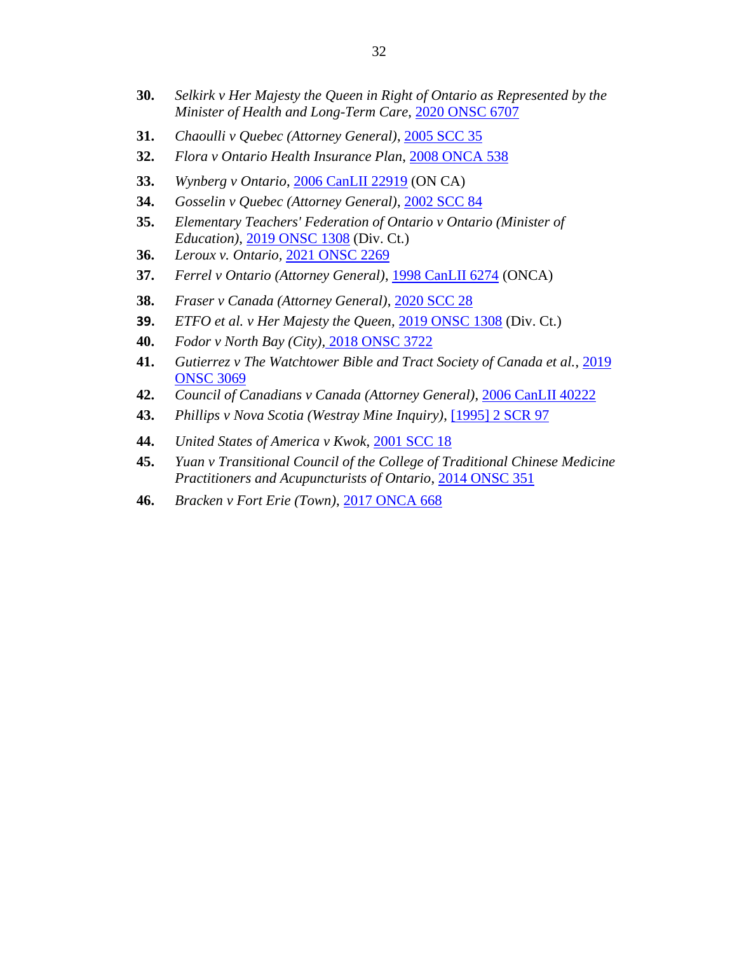- **30.** *Selkirk v Her Majesty the Queen in Right of Ontario as Represented by the Minister of Health and Long-Term Care*, [2020 ONSC 6707](https://www.canlii.org/en/on/onsc/doc/2020/2020onsc6707/2020onsc6707.html)
- **31.** *Chaoulli v Quebec (Attorney General)*, [2005 SCC 35](https://www.canlii.org/en/ca/scc/doc/2005/2005scc35/2005scc35.pdf)
- **32.** *Flora v Ontario Health Insurance Plan*, [2008 ONCA 538](https://canlii.ca/t/1z90d)
- **33.** *Wynberg v Ontario*, [2006 CanLII 22919](https://canlii.ca/t/1nwd6) (ON CA)
- **34.** *Gosselin v Quebec (Attorney General)*, [2002 SCC 84](https://www.canlii.org/en/ca/scc/doc/2002/2002scc84/2002scc84.html)
- **35.** *Elementary Teachers' Federation of Ontario v Ontario (Minister of Education)*, [2019 ONSC 1308](https://canlii.ca/t/hxrqb) (Div. Ct.)
- **36.** *Leroux v. Ontario,* [2021 ONSC](https://canlii.ca/t/jdz83) 2269
- **37.** *Ferrel v Ontario (Attorney General)*, [1998 CanLII 6274](https://www.canlii.org/en/on/onca/doc/1998/1998canlii6274/1998canlii6274.html) (ONCA)
- **38.** *Fraser v Canada (Attorney General)*, [2020 SCC 28](https://canlii.ca/t/jb370)
- **39.** *ETFO et al. v Her Majesty the Queen,* [2019 ONSC 1308](https://canlii.ca/t/hxrqb) (Div. Ct.)
- **40.** *Fodor v North Bay (City),* [2018 ONSC 3722](https://canlii.ca/t/hslf0)
- **41.** *Gutierrez v The Watchtower Bible and Tract Society of Canada et al.*, [2019](https://canlii.ca/t/j0ccw)  [ONSC 3069](https://canlii.ca/t/j0ccw)
- **42.** *Council of Canadians v Canada (Attorney General)*, [2006 CanLII 40222](https://canlii.ca/t/1q3cn)
- **43.** *Phillips v Nova Scotia (Westray Mine Inquiry)*, [\[1995\] 2 SCR 97](https://www.canlii.org/en/ca/scc/doc/1995/1995canlii86/1995canlii86.html)
- **44.** *United States of America v Kwok*, [2001 SCC 18](https://canlii.ca/t/522j)
- **45.** *Yuan v Transitional Council of the College of Traditional Chinese Medicine Practitioners and Acupuncturists of Ontario*, 2014 [ONSC](https://canlii.ca/t/g2wsg) 351
- **46.** *Bracken v Fort Erie (Town)*, [2017 ONCA 668](https://canlii.ca/t/h5tr9)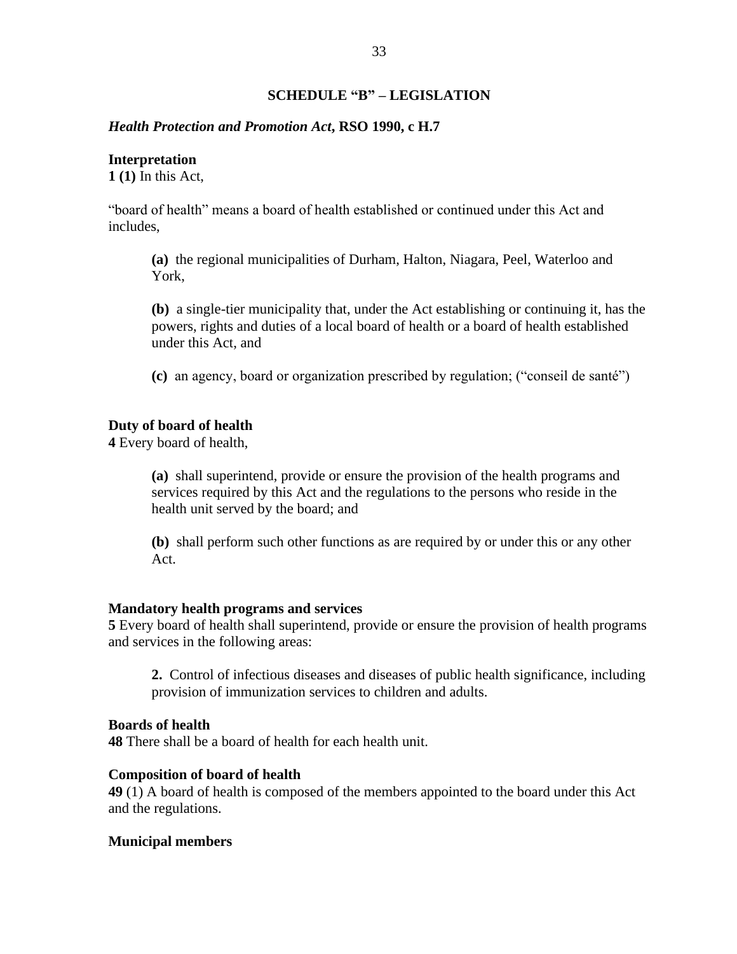### **SCHEDULE "B" – LEGISLATION**

#### *Health Protection and Promotion Act***, RSO 1990, c H.7**

#### **Interpretation**

**1 (1)** In this Act,

"board of health" means a board of health established or continued under this Act and includes,

**(a)** the regional municipalities of Durham, Halton, Niagara, Peel, Waterloo and York,

**(b)** a single-tier municipality that, under the Act establishing or continuing it, has the powers, rights and duties of a local board of health or a board of health established under this Act, and

**(c)** an agency, board or organization prescribed by regulation; ("conseil de santé")

#### **Duty of board of health**

**4** Every board of health,

**(a)** shall superintend, provide or ensure the provision of the health programs and services required by this Act and the regulations to the persons who reside in the health unit served by the board; and

**(b)** shall perform such other functions as are required by or under this or any other Act.

#### **Mandatory health programs and services**

**5** Every board of health shall superintend, provide or ensure the provision of health programs and services in the following areas:

**2.** Control of infectious diseases and diseases of public health significance, including provision of immunization services to children and adults.

## **Boards of health**

**48** There shall be a board of health for each health unit.

#### **Composition of board of health**

**49** (1) A board of health is composed of the members appointed to the board under this Act and the regulations.

#### **Municipal members**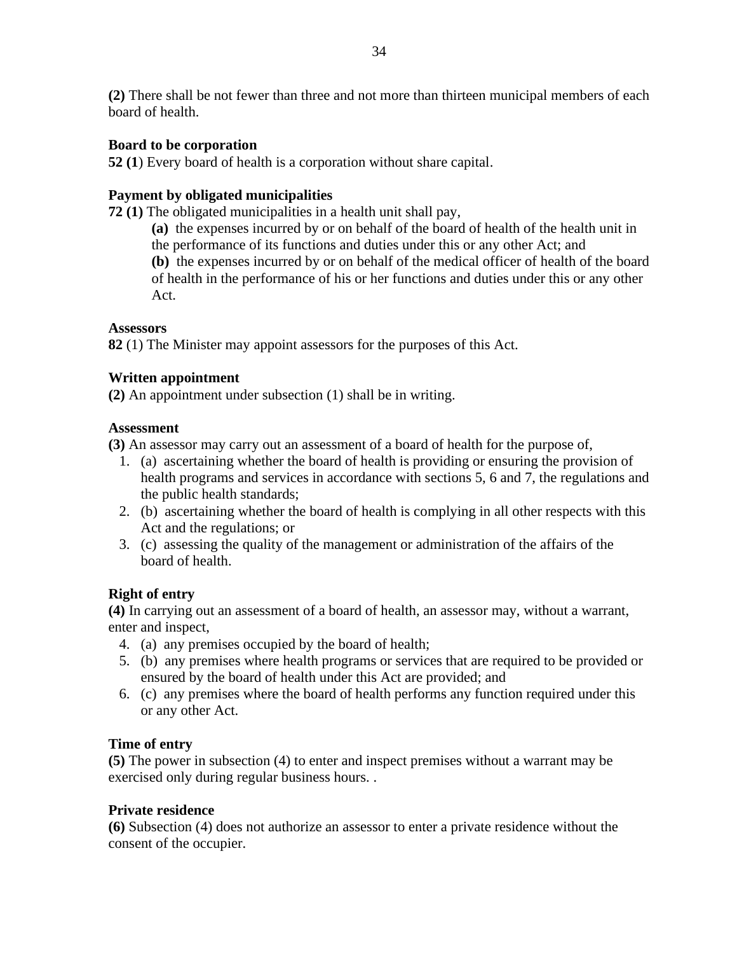# **Board to be corporation**

**52 (1**) Every board of health is a corporation without share capital.

# **Payment by obligated municipalities**

**72 (1)** The obligated municipalities in a health unit shall pay,

**(a)** the expenses incurred by or on behalf of the board of health of the health unit in the performance of its functions and duties under this or any other Act; and **(b)** the expenses incurred by or on behalf of the medical officer of health of the board of health in the performance of his or her functions and duties under this or any other Act.

# **Assessors**

**82** (1) The Minister may appoint assessors for the purposes of this Act.

# **Written appointment**

**(2)** An appointment under subsection (1) shall be in writing.

## **Assessment**

**(3)** An assessor may carry out an assessment of a board of health for the purpose of,

- 1. (a) ascertaining whether the board of health is providing or ensuring the provision of health programs and services in accordance with sections 5, 6 and 7, the regulations and the public health standards;
- 2. (b) ascertaining whether the board of health is complying in all other respects with this Act and the regulations; or
- 3. (c) assessing the quality of the management or administration of the affairs of the board of health.

# **Right of entry**

**(4)** In carrying out an assessment of a board of health, an assessor may, without a warrant, enter and inspect,

- 4. (a) any premises occupied by the board of health;
- 5. (b) any premises where health programs or services that are required to be provided or ensured by the board of health under this Act are provided; and
- 6. (c) any premises where the board of health performs any function required under this or any other Act.

# **Time of entry**

**(5)** The power in subsection (4) to enter and inspect premises without a warrant may be exercised only during regular business hours. .

# **Private residence**

**(6)** Subsection (4) does not authorize an assessor to enter a private residence without the consent of the occupier.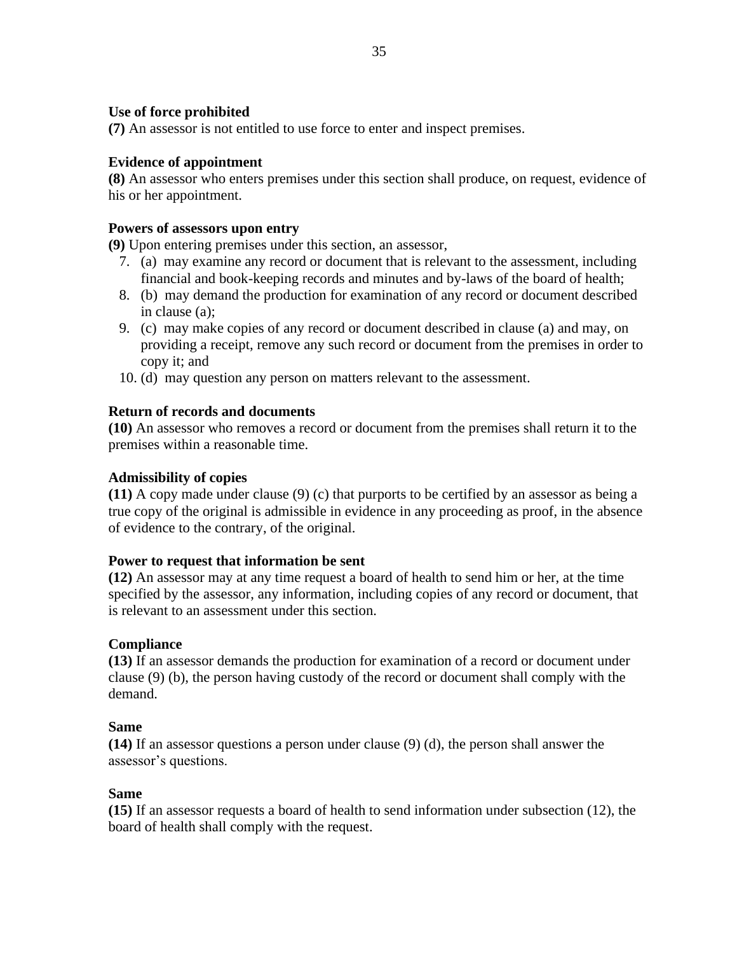# **Use of force prohibited**

**(7)** An assessor is not entitled to use force to enter and inspect premises.

# **Evidence of appointment**

**(8)** An assessor who enters premises under this section shall produce, on request, evidence of his or her appointment.

## **Powers of assessors upon entry**

**(9)** Upon entering premises under this section, an assessor,

- 7. (a) may examine any record or document that is relevant to the assessment, including financial and book-keeping records and minutes and by-laws of the board of health;
- 8. (b) may demand the production for examination of any record or document described in clause (a);
- 9. (c) may make copies of any record or document described in clause (a) and may, on providing a receipt, remove any such record or document from the premises in order to copy it; and
- 10. (d) may question any person on matters relevant to the assessment.

# **Return of records and documents**

**(10)** An assessor who removes a record or document from the premises shall return it to the premises within a reasonable time.

# **Admissibility of copies**

**(11)** A copy made under clause (9) (c) that purports to be certified by an assessor as being a true copy of the original is admissible in evidence in any proceeding as proof, in the absence of evidence to the contrary, of the original.

## **Power to request that information be sent**

**(12)** An assessor may at any time request a board of health to send him or her, at the time specified by the assessor, any information, including copies of any record or document, that is relevant to an assessment under this section.

# **Compliance**

**(13)** If an assessor demands the production for examination of a record or document under clause (9) (b), the person having custody of the record or document shall comply with the demand.

## **Same**

**(14)** If an assessor questions a person under clause (9) (d), the person shall answer the assessor's questions.

# **Same**

**(15)** If an assessor requests a board of health to send information under subsection (12), the board of health shall comply with the request.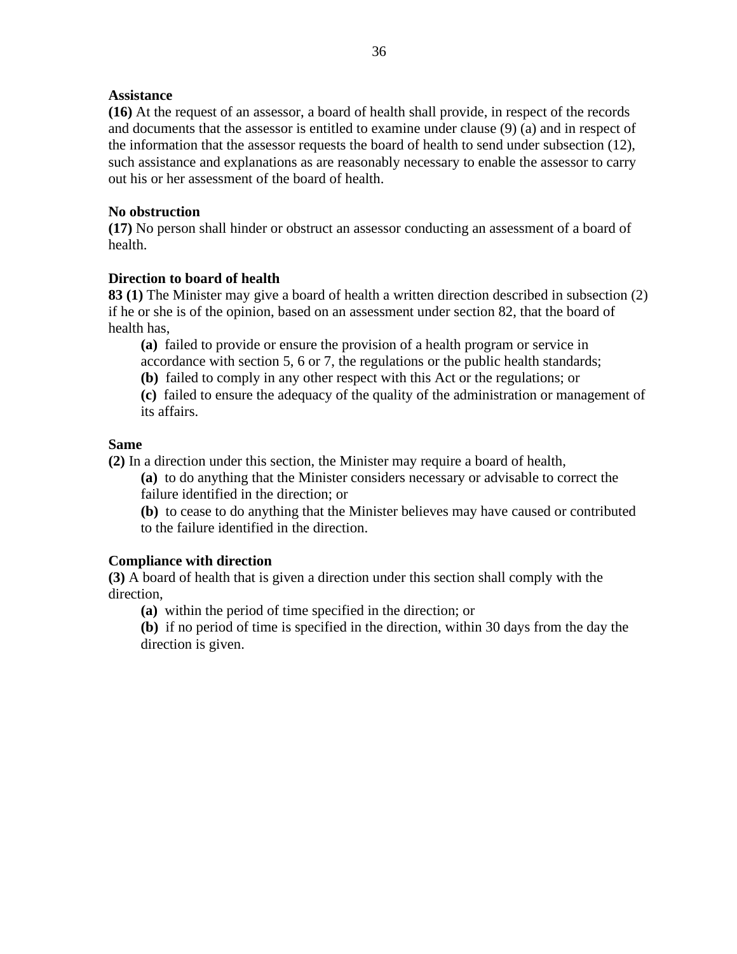## **Assistance**

**(16)** At the request of an assessor, a board of health shall provide, in respect of the records and documents that the assessor is entitled to examine under clause (9) (a) and in respect of the information that the assessor requests the board of health to send under subsection (12), such assistance and explanations as are reasonably necessary to enable the assessor to carry out his or her assessment of the board of health.

### **No obstruction**

**(17)** No person shall hinder or obstruct an assessor conducting an assessment of a board of health.

### **Direction to board of health**

**83 (1)** The Minister may give a board of health a written direction described in subsection (2) if he or she is of the opinion, based on an assessment under section 82, that the board of health has,

**(a)** failed to provide or ensure the provision of a health program or service in accordance with section 5, 6 or 7, the regulations or the public health standards;

**(b)** failed to comply in any other respect with this Act or the regulations; or

**(c)** failed to ensure the adequacy of the quality of the administration or management of its affairs.

### **Same**

**(2)** In a direction under this section, the Minister may require a board of health,

**(a)** to do anything that the Minister considers necessary or advisable to correct the failure identified in the direction; or

**(b)** to cease to do anything that the Minister believes may have caused or contributed to the failure identified in the direction.

## **Compliance with direction**

**(3)** A board of health that is given a direction under this section shall comply with the direction,

**(a)** within the period of time specified in the direction; or

**(b)** if no period of time is specified in the direction, within 30 days from the day the direction is given.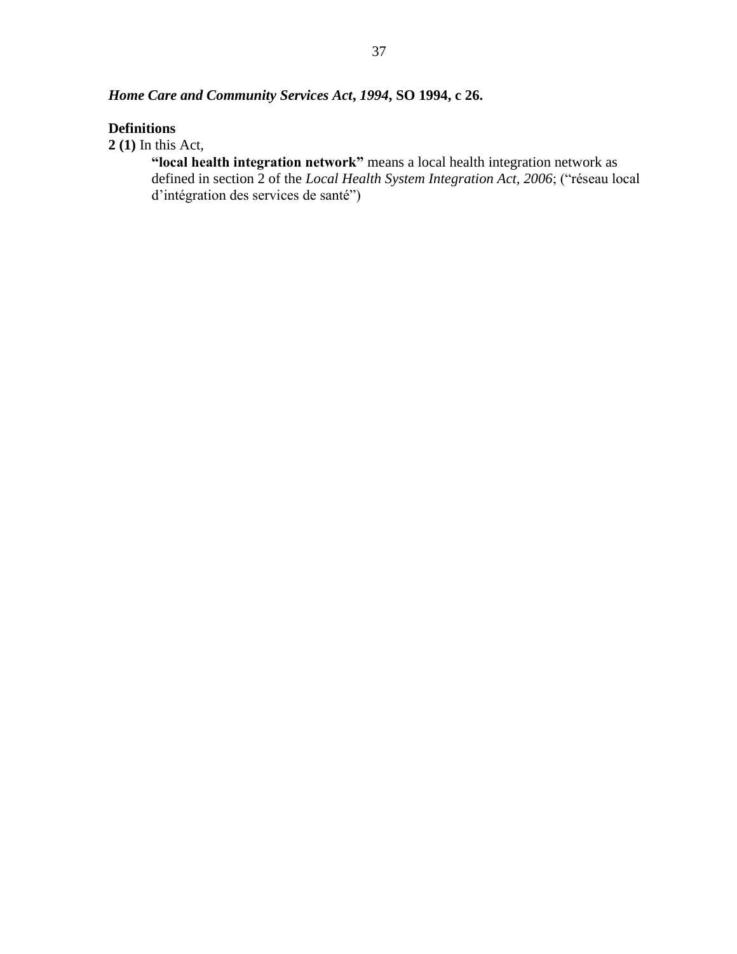# *Home Care and Community Services Act***,** *1994***, SO 1994, c 26.**

# **Definitions**

**2 (1)** In this Act,

**"local health integration network"** means a local health integration network as defined in section 2 of the *Local Health System Integration Act, 2006*; ("réseau local d'intégration des services de santé")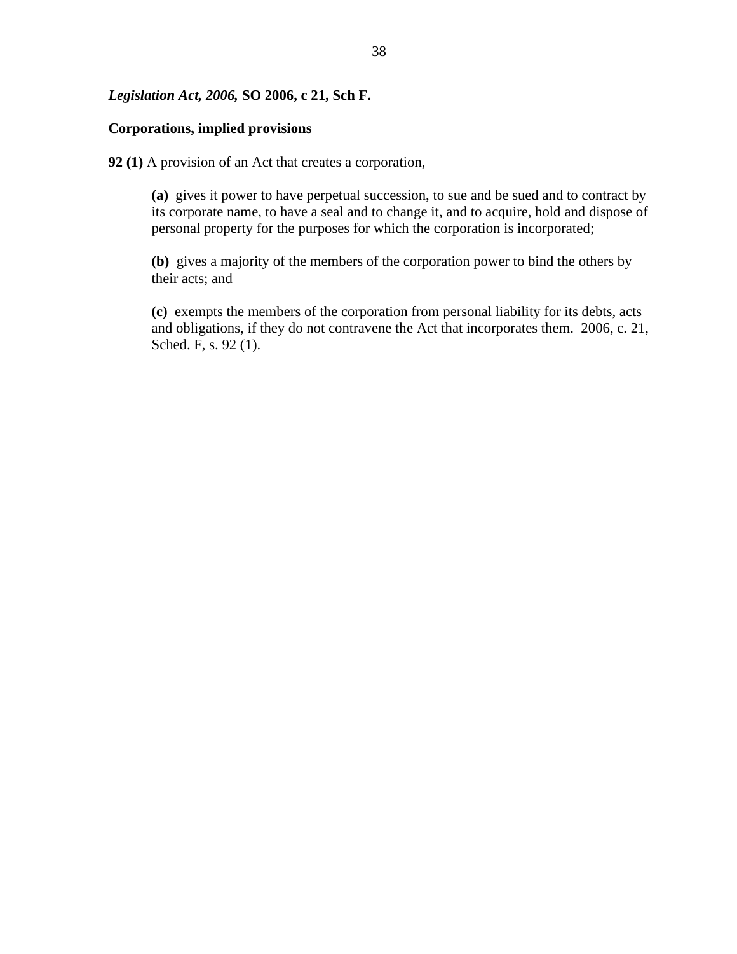### *Legislation Act, 2006,* **SO 2006, c 21, Sch F.**

### **Corporations, implied provisions**

**92 (1)** A provision of an Act that creates a corporation,

**(a)** gives it power to have perpetual succession, to sue and be sued and to contract by its corporate name, to have a seal and to change it, and to acquire, hold and dispose of personal property for the purposes for which the corporation is incorporated;

**(b)** gives a majority of the members of the corporation power to bind the others by their acts; and

**(c)** exempts the members of the corporation from personal liability for its debts, acts and obligations, if they do not contravene the Act that incorporates them. 2006, c. 21, Sched. F, s. 92 (1).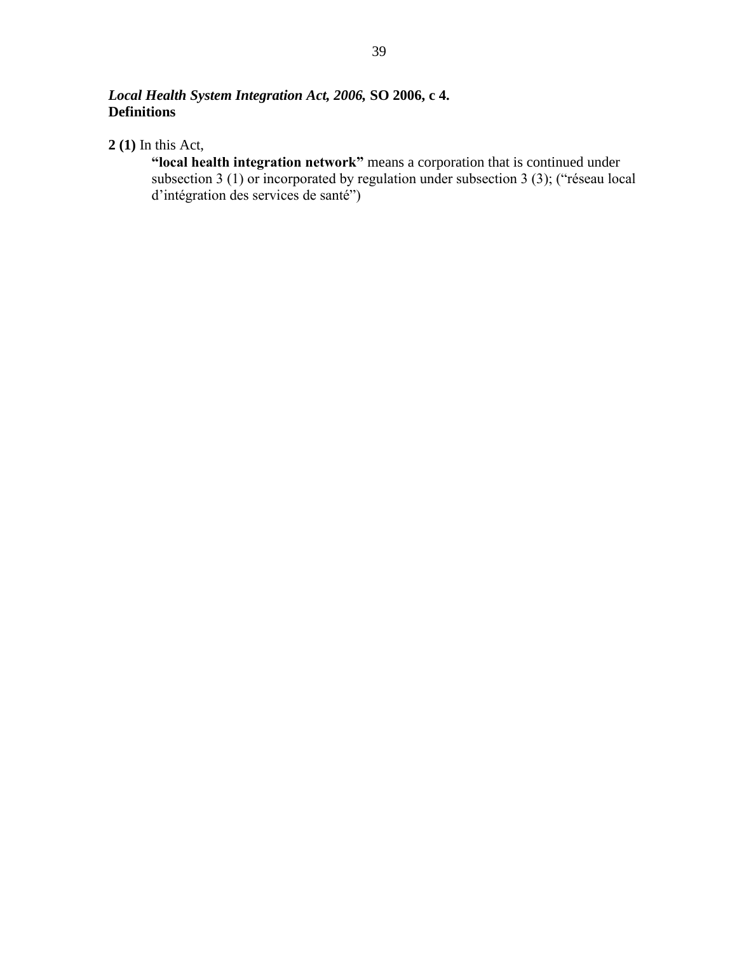# *Local Health System Integration Act, 2006,* **SO 2006, c 4. Definitions**

**2 (1)** In this Act,

**"local health integration network"** means a corporation that is continued under subsection 3 (1) or incorporated by regulation under subsection 3 (3); ("réseau local d'intégration des services de santé")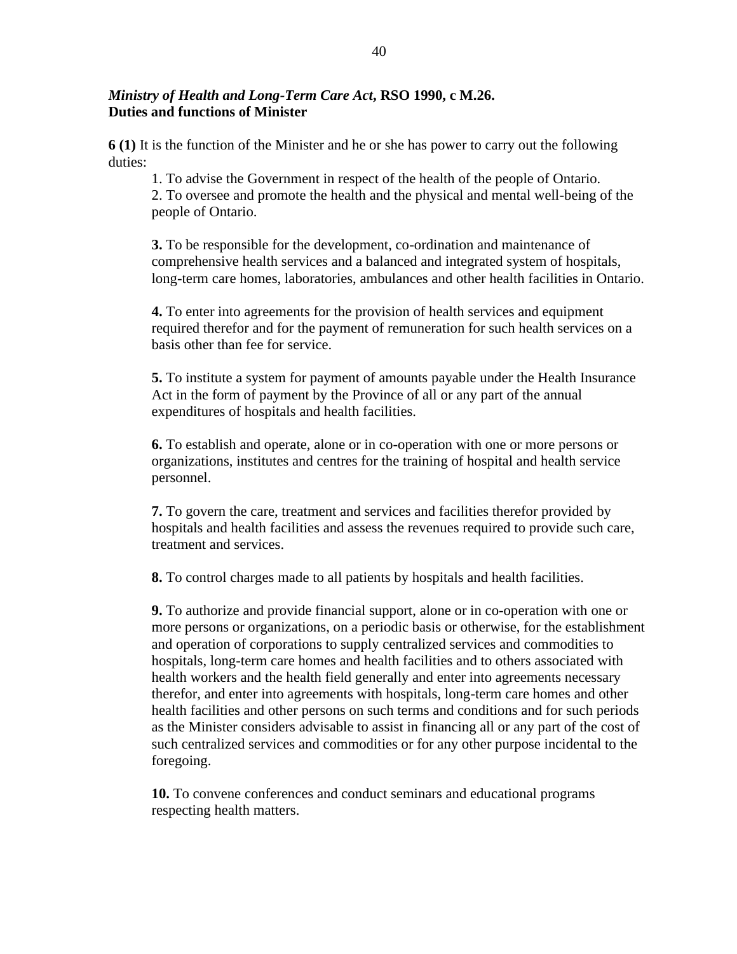# *Ministry of Health and Long-Term Care Act***, RSO 1990, c M.26. Duties and functions of Minister**

**6 (1)** It is the function of the Minister and he or she has power to carry out the following duties:

1. To advise the Government in respect of the health of the people of Ontario. 2. To oversee and promote the health and the physical and mental well-being of the people of Ontario.

**3.** To be responsible for the development, co-ordination and maintenance of comprehensive health services and a balanced and integrated system of hospitals, long-term care homes, laboratories, ambulances and other health facilities in Ontario.

**4.** To enter into agreements for the provision of health services and equipment required therefor and for the payment of remuneration for such health services on a basis other than fee for service.

**5.** To institute a system for payment of amounts payable under the Health Insurance Act in the form of payment by the Province of all or any part of the annual expenditures of hospitals and health facilities.

**6.** To establish and operate, alone or in co-operation with one or more persons or organizations, institutes and centres for the training of hospital and health service personnel.

**7.** To govern the care, treatment and services and facilities therefor provided by hospitals and health facilities and assess the revenues required to provide such care, treatment and services.

**8.** To control charges made to all patients by hospitals and health facilities.

**9.** To authorize and provide financial support, alone or in co-operation with one or more persons or organizations, on a periodic basis or otherwise, for the establishment and operation of corporations to supply centralized services and commodities to hospitals, long-term care homes and health facilities and to others associated with health workers and the health field generally and enter into agreements necessary therefor, and enter into agreements with hospitals, long-term care homes and other health facilities and other persons on such terms and conditions and for such periods as the Minister considers advisable to assist in financing all or any part of the cost of such centralized services and commodities or for any other purpose incidental to the foregoing.

**10.** To convene conferences and conduct seminars and educational programs respecting health matters.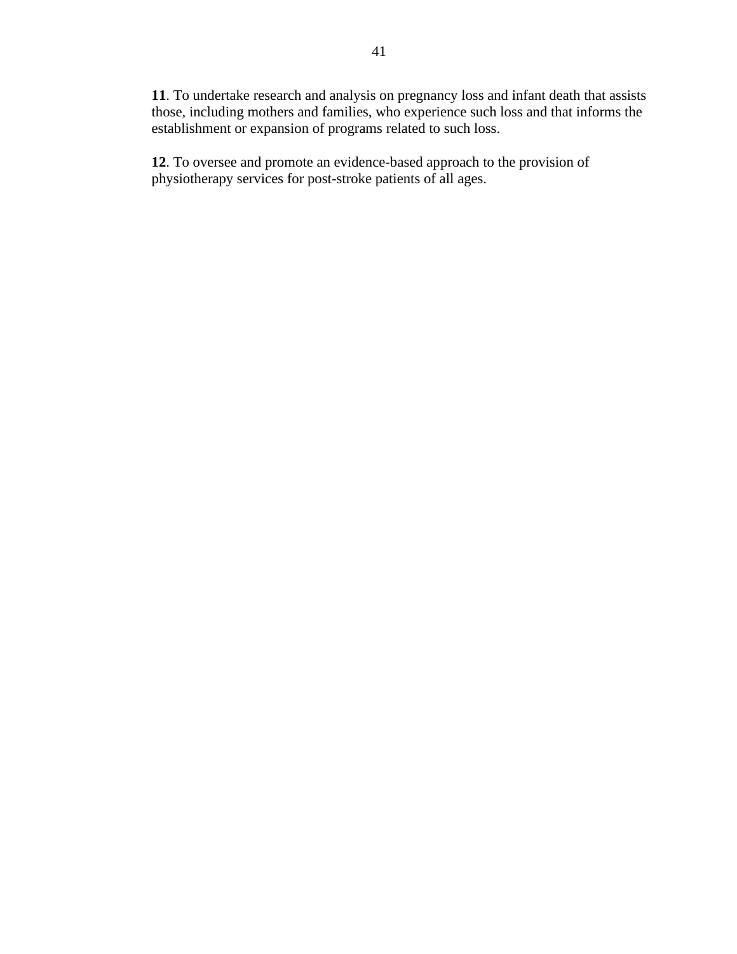**11**. To undertake research and analysis on pregnancy loss and infant death that assists those, including mothers and families, who experience such loss and that informs the establishment or expansion of programs related to such loss.

**12**. To oversee and promote an evidence-based approach to the provision of physiotherapy services for post-stroke patients of all ages.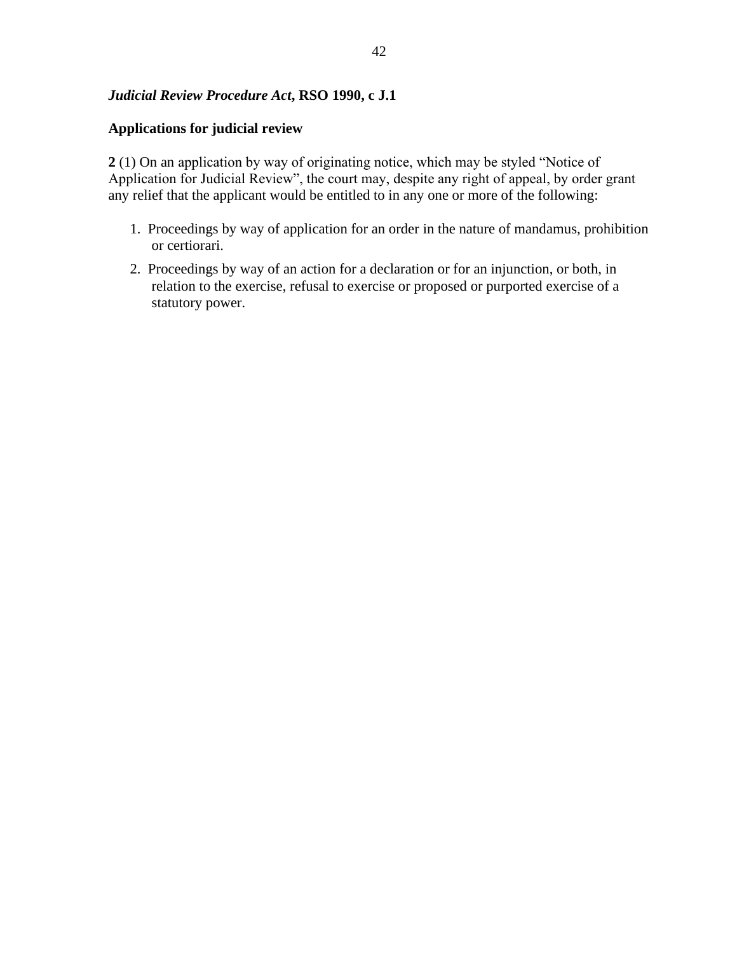# *Judicial Review Procedure Act***, RSO 1990, c J.1**

## **Applications for judicial review**

**2** (1) On an application by way of originating notice, which may be styled "Notice of Application for Judicial Review", the court may, despite any right of appeal, by order grant any relief that the applicant would be entitled to in any one or more of the following:

- 1. Proceedings by way of application for an order in the nature of mandamus, prohibition or certiorari.
- 2. Proceedings by way of an action for a declaration or for an injunction, or both, in relation to the exercise, refusal to exercise or proposed or purported exercise of a statutory power.